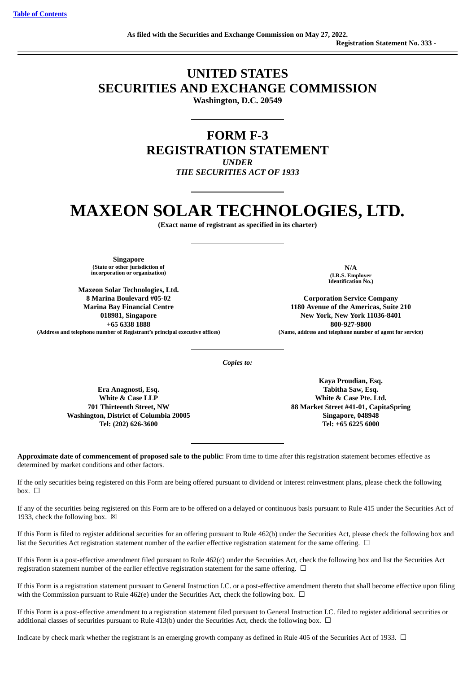# **UNITED STATES SECURITIES AND EXCHANGE COMMISSION**

**Washington, D.C. 20549**

# **FORM F-3 REGISTRATION STATEMENT** *UNDER THE SECURITIES ACT OF 1933*

# **MAXEON SOLAR TECHNOLOGIES, LTD.**

**(Exact name of registrant as specified in its charter)**

**Singapore (State or other jurisdiction of incorporation or organization)**

**Maxeon Solar Technologies, Ltd. 8 Marina Boulevard #05-02 Marina Bay Financial Centre 018981, Singapore +65 6338 1888** (Address and telephone number of Registrant's principal executive offices) (Name, address and telephone number of agent for service)

**N/A (I.R.S. Employer Identification No.)**

**Corporation Service Company 1180 Avenue of the Americas, Suite 210 New York, New York 11036-8401 800-927-9800**

*Copies to:*

**Era Anagnosti, Esq. White & Case LLP 701 Thirteenth Street, NW Washington, District of Columbia 20005 Tel: (202) 626-3600**

**Kaya Proudian, Esq. Tabitha Saw, Esq. White & Case Pte. Ltd. 88 Market Street #41-01, CapitaSpring Singapore, 048948 Tel: +65 6225 6000**

**Approximate date of commencement of proposed sale to the public**: From time to time after this registration statement becomes effective as determined by market conditions and other factors.

If the only securities being registered on this Form are being offered pursuant to dividend or interest reinvestment plans, please check the following box. ☐

If any of the securities being registered on this Form are to be offered on a delayed or continuous basis pursuant to Rule 415 under the Securities Act of 1933, check the following box.  $\boxtimes$ 

If this Form is filed to register additional securities for an offering pursuant to Rule 462(b) under the Securities Act, please check the following box and list the Securities Act registration statement number of the earlier effective registration statement for the same offering.  $\Box$ 

If this Form is a post-effective amendment filed pursuant to Rule 462(c) under the Securities Act, check the following box and list the Securities Act registration statement number of the earlier effective registration statement for the same offering.  $\Box$ 

If this Form is a registration statement pursuant to General Instruction I.C. or a post-effective amendment thereto that shall become effective upon filing with the Commission pursuant to Rule 462(e) under the Securities Act, check the following box.  $\Box$ 

If this Form is a post-effective amendment to a registration statement filed pursuant to General Instruction I.C. filed to register additional securities or additional classes of securities pursuant to Rule 413(b) under the Securities Act, check the following box.  $\Box$ 

Indicate by check mark whether the registrant is an emerging growth company as defined in Rule 405 of the Securities Act of 1933. □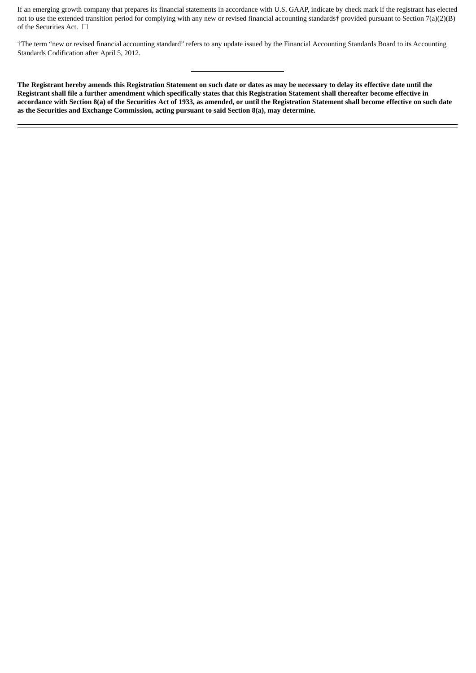If an emerging growth company that prepares its financial statements in accordance with U.S. GAAP, indicate by check mark if the registrant has elected not to use the extended transition period for complying with any new or revised financial accounting standards† provided pursuant to Section 7(a)(2)(B) of the Securities Act.  $\Box$ 

†The term "new or revised financial accounting standard" refers to any update issued by the Financial Accounting Standards Board to its Accounting Standards Codification after April 5, 2012.

The Registrant hereby amends this Registration Statement on such date or dates as may be necessary to delay its effective date until the Registrant shall file a further amendment which specifically states that this Registration Statement shall thereafter become effective in accordance with Section 8(a) of the Securities Act of 1933, as amended, or until the Registration Statement shall become effective on such date **as the Securities and Exchange Commission, acting pursuant to said Section 8(a), may determine.**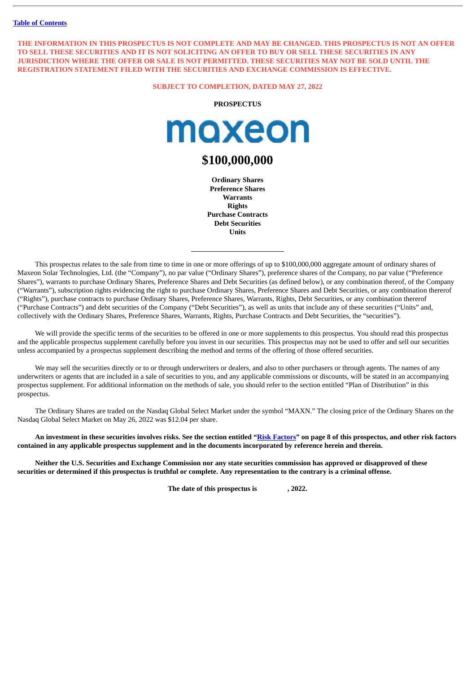THE INFORMATION IN THIS PROSPECTUS IS NOT COMPLETE AND MAY BE CHANGED. THIS PROSPECTUS IS NOT AN OFFER TO SELL THESE SECURITIES AND IT IS NOT SOLICITING AN OFFER TO BUY OR SELL THESE SECURITIES IN ANY **JURISDICTION WHERE THE OFFER OR SALE IS NOT PERMITTED. THESE SECURITIES MAY NOT BE SOLD UNTIL THE REGISTRATION STATEMENT FILED WITH THE SECURITIES AND EXCHANGE COMMISSION IS EFFECTIVE.**

**SUBJECT TO COMPLETION, DATED MAY 27, 2022**

**PROSPECTUS**



# **\$100,000,000**

**Ordinary Shares Preference Shares Warrants Rights Purchase Contracts Debt Securities Units**

This prospectus relates to the sale from time to time in one or more offerings of up to \$100,000,000 aggregate amount of ordinary shares of Maxeon Solar Technologies, Ltd. (the "Company"), no par value ("Ordinary Shares"), preference shares of the Company, no par value ("Preference Shares"), warrants to purchase Ordinary Shares, Preference Shares and Debt Securities (as defined below), or any combination thereof, of the Company ("Warrants"), subscription rights evidencing the right to purchase Ordinary Shares, Preference Shares and Debt Securities, or any combination thererof ("Rights"), purchase contracts to purchase Ordinary Shares, Preference Shares, Warrants, Rights, Debt Securities, or any combination thererof ("Purchase Contracts") and debt securities of the Company ("Debt Securities"), as well as units that include any of these securities ("Units" and, collectively with the Ordinary Shares, Preference Shares, Warrants, Rights, Purchase Contracts and Debt Securities, the "securities").

We will provide the specific terms of the securities to be offered in one or more supplements to this prospectus. You should read this prospectus and the applicable prospectus supplement carefully before you invest in our securities. This prospectus may not be used to offer and sell our securities unless accompanied by a prospectus supplement describing the method and terms of the offering of those offered securities.

We may sell the securities directly or to or through underwriters or dealers, and also to other purchasers or through agents. The names of any underwriters or agents that are included in a sale of securities to you, and any applicable commissions or discounts, will be stated in an accompanying prospectus supplement. For additional information on the methods of sale, you should refer to the section entitled "Plan of Distribution" in this prospectus.

The Ordinary Shares are traded on the Nasdaq Global Select Market under the symbol "MAXN." The closing price of the Ordinary Shares on the Nasdaq Global Select Market on May 26, 2022 was \$12.04 per share.

An investment in these securities involves risks. See the section entitled "Risk [Factors](#page-11-0)" on page 8 of this prospectus, and other risk factors contained in any applicable prospectus supplement and in the documents incorporated by reference herein and therein.

Neither the U.S. Securities and Exchange Commission nor any state securities commission has approved or disapproved of these securities or determined if this prospectus is truthful or complete. Any representation to the contrary is a criminal offense.

**The date of this prospectus is , 2022.**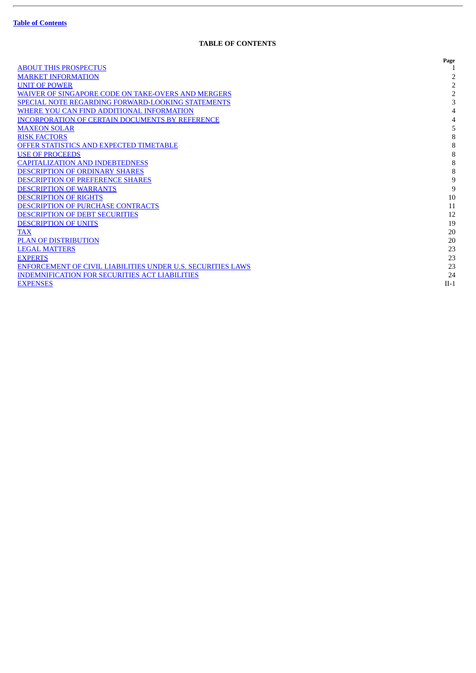ł.

# **TABLE OF CONTENTS**

<span id="page-3-0"></span>

|                                                             | Page           |
|-------------------------------------------------------------|----------------|
| <b>ABOUT THIS PROSPECTUS</b>                                |                |
| <b>MARKET INFORMATION</b>                                   |                |
| <b>UNIT OF POWER</b>                                        | $\overline{2}$ |
| <b>WAIVER OF SINGAPORE CODE ON TAKE-OVERS AND MERGERS</b>   | 2              |
| <b>SPECIAL NOTE REGARDING FORWARD-LOOKING STATEMENTS</b>    | 3              |
| WHERE YOU CAN FIND ADDITIONAL INFORMATION                   |                |
| <b>INCORPORATION OF CERTAIN DOCUMENTS BY REFERENCE</b>      |                |
| <b>MAXEON SOLAR</b>                                         | 5              |
| <b>RISK FACTORS</b>                                         | 8              |
| <b>OFFER STATISTICS AND EXPECTED TIMETABLE</b>              | 8              |
| <b>USE OF PROCEEDS</b>                                      | 8              |
| <b>CAPITALIZATION AND INDEBTEDNESS</b>                      | 8              |
| <b>DESCRIPTION OF ORDINARY SHARES</b>                       | 8              |
| <b>DESCRIPTION OF PREFERENCE SHARES</b>                     | 9              |
| <b>DESCRIPTION OF WARRANTS</b>                              | 9              |
| <b>DESCRIPTION OF RIGHTS</b>                                | 10             |
| <b>DESCRIPTION OF PURCHASE CONTRACTS</b>                    | 11             |
| <b>DESCRIPTION OF DEBT SECURITIES</b>                       | 12             |
| <b>DESCRIPTION OF UNITS</b>                                 | 19             |
| TAX                                                         | 20             |
| <b>PLAN OF DISTRIBUTION</b>                                 | 20             |
| <b>LEGAL MATTERS</b>                                        | 23             |
| <b>EXPERTS</b>                                              | 23             |
| ENFORCEMENT OF CIVIL LIABILITIES UNDER U.S. SECURITIES LAWS | 23             |
| <b>INDEMNIFICATION FOR SECURITIES ACT LIABILITIES</b>       | 24             |
| <b>EXPENSES</b>                                             | $II-1$         |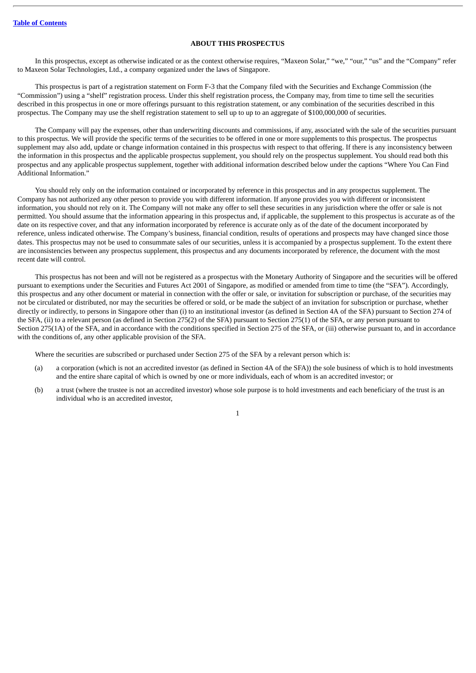#### **ABOUT THIS PROSPECTUS**

<span id="page-4-0"></span>In this prospectus, except as otherwise indicated or as the context otherwise requires, "Maxeon Solar," "we," "our," "us" and the "Company" refer to Maxeon Solar Technologies, Ltd., a company organized under the laws of Singapore.

This prospectus is part of a registration statement on Form F-3 that the Company filed with the Securities and Exchange Commission (the "Commission") using a "shelf" registration process. Under this shelf registration process, the Company may, from time to time sell the securities described in this prospectus in one or more offerings pursuant to this registration statement, or any combination of the securities described in this prospectus. The Company may use the shelf registration statement to sell up to up to an aggregate of \$100,000,000 of securities.

The Company will pay the expenses, other than underwriting discounts and commissions, if any, associated with the sale of the securities pursuant to this prospectus. We will provide the specific terms of the securities to be offered in one or more supplements to this prospectus. The prospectus supplement may also add, update or change information contained in this prospectus with respect to that offering. If there is any inconsistency between the information in this prospectus and the applicable prospectus supplement, you should rely on the prospectus supplement. You should read both this prospectus and any applicable prospectus supplement, together with additional information described below under the captions "Where You Can Find Additional Information."

You should rely only on the information contained or incorporated by reference in this prospectus and in any prospectus supplement. The Company has not authorized any other person to provide you with different information. If anyone provides you with different or inconsistent information, you should not rely on it. The Company will not make any offer to sell these securities in any jurisdiction where the offer or sale is not permitted. You should assume that the information appearing in this prospectus and, if applicable, the supplement to this prospectus is accurate as of the date on its respective cover, and that any information incorporated by reference is accurate only as of the date of the document incorporated by reference, unless indicated otherwise. The Company's business, financial condition, results of operations and prospects may have changed since those dates. This prospectus may not be used to consummate sales of our securities, unless it is accompanied by a prospectus supplement. To the extent there are inconsistencies between any prospectus supplement, this prospectus and any documents incorporated by reference, the document with the most recent date will control.

This prospectus has not been and will not be registered as a prospectus with the Monetary Authority of Singapore and the securities will be offered pursuant to exemptions under the Securities and Futures Act 2001 of Singapore, as modified or amended from time to time (the "SFA"). Accordingly, this prospectus and any other document or material in connection with the offer or sale, or invitation for subscription or purchase, of the securities may not be circulated or distributed, nor may the securities be offered or sold, or be made the subject of an invitation for subscription or purchase, whether directly or indirectly, to persons in Singapore other than (i) to an institutional investor (as defined in Section 4A of the SFA) pursuant to Section 274 of the SFA, (ii) to a relevant person (as defined in Section 275(2) of the SFA) pursuant to Section 275(1) of the SFA, or any person pursuant to Section 275(1A) of the SFA, and in accordance with the conditions specified in Section 275 of the SFA, or (iii) otherwise pursuant to, and in accordance with the conditions of, any other applicable provision of the SFA.

Where the securities are subscribed or purchased under Section 275 of the SFA by a relevant person which is:

- (a) a corporation (which is not an accredited investor (as defined in Section 4A of the SFA)) the sole business of which is to hold investments and the entire share capital of which is owned by one or more individuals, each of whom is an accredited investor; or
- (b) a trust (where the trustee is not an accredited investor) whose sole purpose is to hold investments and each beneficiary of the trust is an individual who is an accredited investor,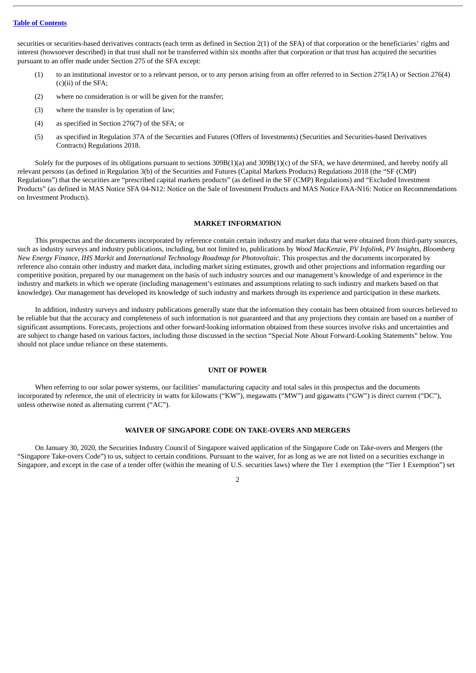securities or securities-based derivatives contracts (each term as defined in Section 2(1) of the SFA) of that corporation or the beneficiaries' rights and interest (howsoever described) in that trust shall not be transferred within six months after that corporation or that trust has acquired the securities pursuant to an offer made under Section 275 of the SFA except:

- (1) to an institutional investor or to a relevant person, or to any person arising from an offer referred to in Section 275(1A) or Section 276(4) (c)(ii) of the SFA;
- (2) where no consideration is or will be given for the transfer;
- (3) where the transfer is by operation of law;
- (4) as specified in Section 276(7) of the SFA; or
- (5) as specified in Regulation 37A of the Securities and Futures (Offers of Investments) (Securities and Securities-based Derivatives Contracts) Regulations 2018.

Solely for the purposes of its obligations pursuant to sections 309B(1)(a) and 309B(1)(c) of the SFA, we have determined, and hereby notify all relevant persons (as defined in Regulation 3(b) of the Securities and Futures (Capital Markets Products) Regulations 2018 (the "SF (CMP) Regulations") that the securities are "prescribed capital markets products" (as defined in the SF (CMP) Regulations) and "Excluded Investment Products" (as defined in MAS Notice SFA 04-N12: Notice on the Sale of Investment Products and MAS Notice FAA-N16: Notice on Recommendations on Investment Products).

#### **MARKET INFORMATION**

<span id="page-5-0"></span>This prospectus and the documents incorporated by reference contain certain industry and market data that were obtained from third-party sources, such as industry surveys and industry publications, including, but not limited to, publications by *Wood MacKenzie*, *PV Infolink*, *PV Insights*, *Bloomberg New Energy Finance*, *IHS Markit* and *International Technology Roadmap for Photovoltaic*. This prospectus and the documents incorporated by reference also contain other industry and market data, including market sizing estimates, growth and other projections and information regarding our competitive position, prepared by our management on the basis of such industry sources and our management's knowledge of and experience in the industry and markets in which we operate (including management's estimates and assumptions relating to such industry and markets based on that knowledge). Our management has developed its knowledge of such industry and markets through its experience and participation in these markets.

In addition, industry surveys and industry publications generally state that the information they contain has been obtained from sources believed to be reliable but that the accuracy and completeness of such information is not guaranteed and that any projections they contain are based on a number of significant assumptions. Forecasts, projections and other forward-looking information obtained from these sources involve risks and uncertainties and are subject to change based on various factors, including those discussed in the section "Special Note About Forward-Looking Statements" below. You should not place undue reliance on these statements.

#### **UNIT OF POWER**

<span id="page-5-1"></span>When referring to our solar power systems, our facilities' manufacturing capacity and total sales in this prospectus and the documents incorporated by reference, the unit of electricity in watts for kilowatts ("KW"), megawatts ("MW") and gigawatts ("GW") is direct current ("DC"), unless otherwise noted as alternating current ("AC").

#### **WAIVER OF SINGAPORE CODE ON TAKE-OVERS AND MERGERS**

<span id="page-5-2"></span>On January 30, 2020, the Securities Industry Council of Singapore waived application of the Singapore Code on Take-overs and Mergers (the "Singapore Take-overs Code") to us, subject to certain conditions. Pursuant to the waiver, for as long as we are not listed on a securities exchange in Singapore, and except in the case of a tender offer (within the meaning of U.S. securities laws) where the Tier 1 exemption (the "Tier 1 Exemption") set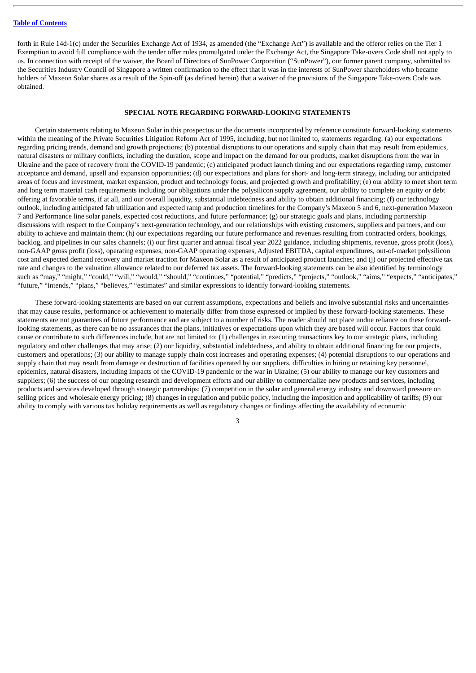forth in Rule 14d-1(c) under the Securities Exchange Act of 1934, as amended (the "Exchange Act") is available and the offeror relies on the Tier 1 Exemption to avoid full compliance with the tender offer rules promulgated under the Exchange Act, the Singapore Take-overs Code shall not apply to us. In connection with receipt of the waiver, the Board of Directors of SunPower Corporation ("SunPower"), our former parent company, submitted to the Securities Industry Council of Singapore a written confirmation to the effect that it was in the interests of SunPower shareholders who became holders of Maxeon Solar shares as a result of the Spin-off (as defined herein) that a waiver of the provisions of the Singapore Take-overs Code was obtained.

#### **SPECIAL NOTE REGARDING FORWARD-LOOKING STATEMENTS**

<span id="page-6-0"></span>Certain statements relating to Maxeon Solar in this prospectus or the documents incorporated by reference constitute forward-looking statements within the meaning of the Private Securities Litigation Reform Act of 1995, including, but not limited to, statements regarding: (a) our expectations regarding pricing trends, demand and growth projections; (b) potential disruptions to our operations and supply chain that may result from epidemics, natural disasters or military conflicts, including the duration, scope and impact on the demand for our products, market disruptions from the war in Ukraine and the pace of recovery from the COVID-19 pandemic; (c) anticipated product launch timing and our expectations regarding ramp, customer acceptance and demand, upsell and expansion opportunities; (d) our expectations and plans for short- and long-term strategy, including our anticipated areas of focus and investment, market expansion, product and technology focus, and projected growth and profitability; (e) our ability to meet short term and long term material cash requirements including our obligations under the polysilicon supply agreement, our ability to complete an equity or debt offering at favorable terms, if at all, and our overall liquidity, substantial indebtedness and ability to obtain additional financing; (f) our technology outlook, including anticipated fab utilization and expected ramp and production timelines for the Company's Maxeon 5 and 6, next-generation Maxeon 7 and Performance line solar panels, expected cost reductions, and future performance; (g) our strategic goals and plans, including partnership discussions with respect to the Company's next-generation technology, and our relationships with existing customers, suppliers and partners, and our ability to achieve and maintain them; (h) our expectations regarding our future performance and revenues resulting from contracted orders, bookings, backlog, and pipelines in our sales channels; (i) our first quarter and annual fiscal year 2022 guidance, including shipments, revenue, gross profit (loss), non-GAAP gross profit (loss), operating expenses, non-GAAP operating expenses, Adjusted EBITDA, capital expenditures, out-of-market polysilicon cost and expected demand recovery and market traction for Maxeon Solar as a result of anticipated product launches; and (j) our projected effective tax rate and changes to the valuation allowance related to our deferred tax assets. The forward-looking statements can be also identified by terminology such as "may," "might," "could," "will," "would," "should," "continues," "potential," "predicts," "projects," "outlook," "aims," "expects," "anticipates," "future," "intends," "plans," "believes," "estimates" and similar expressions to identify forward-looking statements.

These forward-looking statements are based on our current assumptions, expectations and beliefs and involve substantial risks and uncertainties that may cause results, performance or achievement to materially differ from those expressed or implied by these forward-looking statements. These statements are not guarantees of future performance and are subject to a number of risks. The reader should not place undue reliance on these forwardlooking statements, as there can be no assurances that the plans, initiatives or expectations upon which they are based will occur. Factors that could cause or contribute to such differences include, but are not limited to: (1) challenges in executing transactions key to our strategic plans, including regulatory and other challenges that may arise; (2) our liquidity, substantial indebtedness, and ability to obtain additional financing for our projects, customers and operations; (3) our ability to manage supply chain cost increases and operating expenses; (4) potential disruptions to our operations and supply chain that may result from damage or destruction of facilities operated by our suppliers, difficulties in hiring or retaining key personnel, epidemics, natural disasters, including impacts of the COVID-19 pandemic or the war in Ukraine; (5) our ability to manage our key customers and suppliers; (6) the success of our ongoing research and development efforts and our ability to commercialize new products and services, including products and services developed through strategic partnerships; (7) competition in the solar and general energy industry and downward pressure on selling prices and wholesale energy pricing; (8) changes in regulation and public policy, including the imposition and applicability of tariffs; (9) our ability to comply with various tax holiday requirements as well as regulatory changes or findings affecting the availability of economic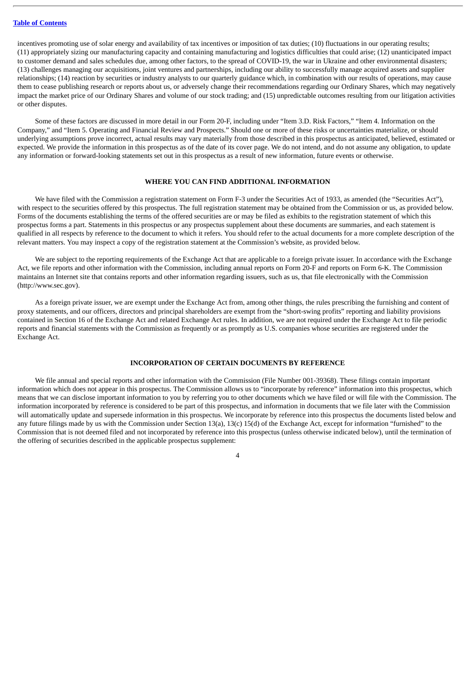incentives promoting use of solar energy and availability of tax incentives or imposition of tax duties; (10) fluctuations in our operating results; (11) appropriately sizing our manufacturing capacity and containing manufacturing and logistics difficulties that could arise; (12) unanticipated impact to customer demand and sales schedules due, among other factors, to the spread of COVID-19, the war in Ukraine and other environmental disasters; (13) challenges managing our acquisitions, joint ventures and partnerships, including our ability to successfully manage acquired assets and supplier relationships; (14) reaction by securities or industry analysts to our quarterly guidance which, in combination with our results of operations, may cause them to cease publishing research or reports about us, or adversely change their recommendations regarding our Ordinary Shares, which may negatively impact the market price of our Ordinary Shares and volume of our stock trading; and (15) unpredictable outcomes resulting from our litigation activities or other disputes.

Some of these factors are discussed in more detail in our Form 20-F, including under "Item 3.D. Risk Factors," "Item 4. Information on the Company," and "Item 5. Operating and Financial Review and Prospects." Should one or more of these risks or uncertainties materialize, or should underlying assumptions prove incorrect, actual results may vary materially from those described in this prospectus as anticipated, believed, estimated or expected. We provide the information in this prospectus as of the date of its cover page. We do not intend, and do not assume any obligation, to update any information or forward-looking statements set out in this prospectus as a result of new information, future events or otherwise.

#### **WHERE YOU CAN FIND ADDITIONAL INFORMATION**

<span id="page-7-0"></span>We have filed with the Commission a registration statement on Form F-3 under the Securities Act of 1933, as amended (the "Securities Act"), with respect to the securities offered by this prospectus. The full registration statement may be obtained from the Commission or us, as provided below. Forms of the documents establishing the terms of the offered securities are or may be filed as exhibits to the registration statement of which this prospectus forms a part. Statements in this prospectus or any prospectus supplement about these documents are summaries, and each statement is qualified in all respects by reference to the document to which it refers. You should refer to the actual documents for a more complete description of the relevant matters. You may inspect a copy of the registration statement at the Commission's website, as provided below.

We are subject to the reporting requirements of the Exchange Act that are applicable to a foreign private issuer. In accordance with the Exchange Act, we file reports and other information with the Commission, including annual reports on Form 20-F and reports on Form 6-K. The Commission maintains an Internet site that contains reports and other information regarding issuers, such as us, that file electronically with the Commission (http://www.sec.gov).

As a foreign private issuer, we are exempt under the Exchange Act from, among other things, the rules prescribing the furnishing and content of proxy statements, and our officers, directors and principal shareholders are exempt from the "short-swing profits" reporting and liability provisions contained in Section 16 of the Exchange Act and related Exchange Act rules. In addition, we are not required under the Exchange Act to file periodic reports and financial statements with the Commission as frequently or as promptly as U.S. companies whose securities are registered under the Exchange Act.

#### **INCORPORATION OF CERTAIN DOCUMENTS BY REFERENCE**

<span id="page-7-1"></span>We file annual and special reports and other information with the Commission (File Number 001-39368). These filings contain important information which does not appear in this prospectus. The Commission allows us to "incorporate by reference" information into this prospectus, which means that we can disclose important information to you by referring you to other documents which we have filed or will file with the Commission. The information incorporated by reference is considered to be part of this prospectus, and information in documents that we file later with the Commission will automatically update and supersede information in this prospectus. We incorporate by reference into this prospectus the documents listed below and any future filings made by us with the Commission under Section 13(a), 13(c) 15(d) of the Exchange Act, except for information "furnished" to the Commission that is not deemed filed and not incorporated by reference into this prospectus (unless otherwise indicated below), until the termination of the offering of securities described in the applicable prospectus supplement: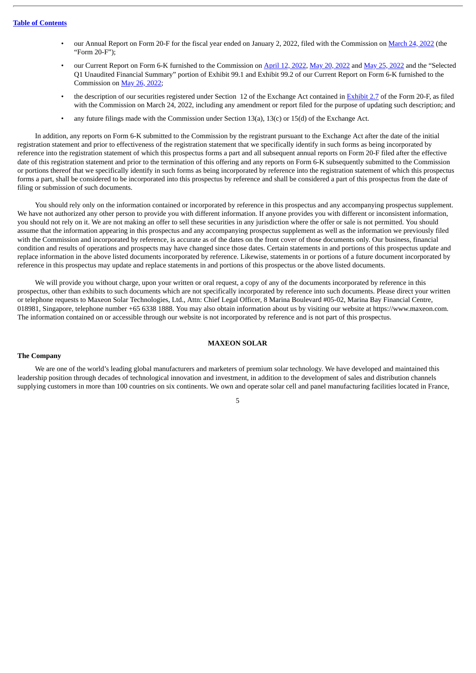- our Annual Report on Form 20-F for the fiscal year ended on January 2, 2022, filed with the Commission on [March](http://www.sec.gov/ix?doc=/Archives/edgar/data/1796898/000179689822000020/maxn-20220102.htm) 24, 2022 (the "Form 20-F");
- our Current Report on Form 6-K furnished to the Commission on [April](http://www.sec.gov/Archives/edgar/data/1796898/000179689822000023/cover12apr2022.htm) 12, [2022](http://www.sec.gov/Archives/edgar/data/0001796898/000179689822000027/cover25may2022.htm), May 20, 2022 and May 25, 2022 and the "Selected Q1 Unaudited Financial Summary" portion of Exhibit 99.1 and Exhibit 99.2 of our Current Report on Form 6-K furnished to the Commission on May 26, [2022;](http://www.sec.gov/Archives/edgar/data/1796898/000179689822000029/cover-q122.htm)
- the description of our securities registered under Section 12 of the Exchange Act contained in [Exhibit](http://www.sec.gov/Archives/edgar/data/1796898/000179689822000020/exhibit27descriptionofsecu.htm) 2.7 of the Form 20-F, as filed with the Commission on March 24, 2022, including any amendment or report filed for the purpose of updating such description; and
- any future filings made with the Commission under Section 13(a), 13(c) or 15(d) of the Exchange Act.

In addition, any reports on Form 6-K submitted to the Commission by the registrant pursuant to the Exchange Act after the date of the initial registration statement and prior to effectiveness of the registration statement that we specifically identify in such forms as being incorporated by reference into the registration statement of which this prospectus forms a part and all subsequent annual reports on Form 20-F filed after the effective date of this registration statement and prior to the termination of this offering and any reports on Form 6-K subsequently submitted to the Commission or portions thereof that we specifically identify in such forms as being incorporated by reference into the registration statement of which this prospectus forms a part, shall be considered to be incorporated into this prospectus by reference and shall be considered a part of this prospectus from the date of filing or submission of such documents.

You should rely only on the information contained or incorporated by reference in this prospectus and any accompanying prospectus supplement. We have not authorized any other person to provide you with different information. If anyone provides you with different or inconsistent information, you should not rely on it. We are not making an offer to sell these securities in any jurisdiction where the offer or sale is not permitted. You should assume that the information appearing in this prospectus and any accompanying prospectus supplement as well as the information we previously filed with the Commission and incorporated by reference, is accurate as of the dates on the front cover of those documents only. Our business, financial condition and results of operations and prospects may have changed since those dates. Certain statements in and portions of this prospectus update and replace information in the above listed documents incorporated by reference. Likewise, statements in or portions of a future document incorporated by reference in this prospectus may update and replace statements in and portions of this prospectus or the above listed documents.

We will provide you without charge, upon your written or oral request, a copy of any of the documents incorporated by reference in this prospectus, other than exhibits to such documents which are not specifically incorporated by reference into such documents. Please direct your written or telephone requests to Maxeon Solar Technologies, Ltd., Attn: Chief Legal Officer, 8 Marina Boulevard #05-02, Marina Bay Financial Centre, 018981, Singapore, telephone number +65 6338 1888. You may also obtain information about us by visiting our website at https://www.maxeon.com*.* The information contained on or accessible through our website is not incorporated by reference and is not part of this prospectus.

#### **MAXEON SOLAR**

#### <span id="page-8-0"></span>**The Company**

We are one of the world's leading global manufacturers and marketers of premium solar technology. We have developed and maintained this leadership position through decades of technological innovation and investment, in addition to the development of sales and distribution channels supplying customers in more than 100 countries on six continents. We own and operate solar cell and panel manufacturing facilities located in France,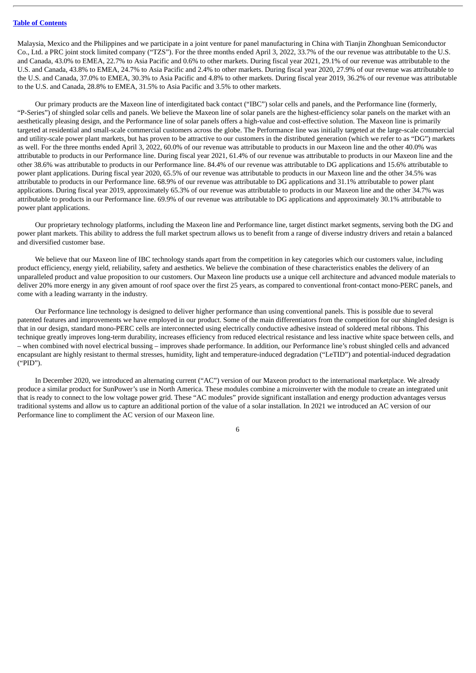Malaysia, Mexico and the Philippines and we participate in a joint venture for panel manufacturing in China with Tianjin Zhonghuan Semiconductor Co., Ltd. a PRC joint stock limited company ("TZS"). For the three months ended April 3, 2022, 33.7% of the our revenue was attributable to the U.S. and Canada, 43.0% to EMEA, 22.7% to Asia Pacific and 0.6% to other markets. During fiscal year 2021, 29.1% of our revenue was attributable to the U.S. and Canada, 43.8% to EMEA, 24.7% to Asia Pacific and 2.4% to other markets. During fiscal year 2020, 27.9% of our revenue was attributable to the U.S. and Canada, 37.0% to EMEA, 30.3% to Asia Pacific and 4.8% to other markets. During fiscal year 2019, 36.2% of our revenue was attributable to the U.S. and Canada, 28.8% to EMEA, 31.5% to Asia Pacific and 3.5% to other markets.

Our primary products are the Maxeon line of interdigitated back contact ("IBC") solar cells and panels, and the Performance line (formerly, "P-Series") of shingled solar cells and panels. We believe the Maxeon line of solar panels are the highest-efficiency solar panels on the market with an aesthetically pleasing design, and the Performance line of solar panels offers a high-value and cost-effective solution. The Maxeon line is primarily targeted at residential and small-scale commercial customers across the globe. The Performance line was initially targeted at the large-scale commercial and utility-scale power plant markets, but has proven to be attractive to our customers in the distributed generation (which we refer to as "DG") markets as well. For the three months ended April 3, 2022, 60.0% of our revenue was attributable to products in our Maxeon line and the other 40.0% was attributable to products in our Performance line. During fiscal year 2021, 61.4% of our revenue was attributable to products in our Maxeon line and the other 38.6% was attributable to products in our Performance line. 84.4% of our revenue was attributable to DG applications and 15.6% attributable to power plant applications. During fiscal year 2020, 65.5% of our revenue was attributable to products in our Maxeon line and the other 34.5% was attributable to products in our Performance line. 68.9% of our revenue was attributable to DG applications and 31.1% attributable to power plant applications. During fiscal year 2019, approximately 65.3% of our revenue was attributable to products in our Maxeon line and the other 34.7% was attributable to products in our Performance line. 69.9% of our revenue was attributable to DG applications and approximately 30.1% attributable to power plant applications.

Our proprietary technology platforms, including the Maxeon line and Performance line, target distinct market segments, serving both the DG and power plant markets. This ability to address the full market spectrum allows us to benefit from a range of diverse industry drivers and retain a balanced and diversified customer base.

We believe that our Maxeon line of IBC technology stands apart from the competition in key categories which our customers value, including product efficiency, energy yield, reliability, safety and aesthetics. We believe the combination of these characteristics enables the delivery of an unparalleled product and value proposition to our customers. Our Maxeon line products use a unique cell architecture and advanced module materials to deliver 20% more energy in any given amount of roof space over the first 25 years, as compared to conventional front-contact mono-PERC panels, and come with a leading warranty in the industry.

Our Performance line technology is designed to deliver higher performance than using conventional panels. This is possible due to several patented features and improvements we have employed in our product. Some of the main differentiators from the competition for our shingled design is that in our design, standard mono-PERC cells are interconnected using electrically conductive adhesive instead of soldered metal ribbons. This technique greatly improves long-term durability, increases efficiency from reduced electrical resistance and less inactive white space between cells, and – when combined with novel electrical bussing – improves shade performance. In addition, our Performance line's robust shingled cells and advanced encapsulant are highly resistant to thermal stresses, humidity, light and temperature-induced degradation ("LeTID") and potential-induced degradation ("PID").

In December 2020, we introduced an alternating current ("AC") version of our Maxeon product to the international marketplace. We already produce a similar product for SunPower's use in North America. These modules combine a microinverter with the module to create an integrated unit that is ready to connect to the low voltage power grid. These "AC modules" provide significant installation and energy production advantages versus traditional systems and allow us to capture an additional portion of the value of a solar installation. In 2021 we introduced an AC version of our Performance line to compliment the AC version of our Maxeon line.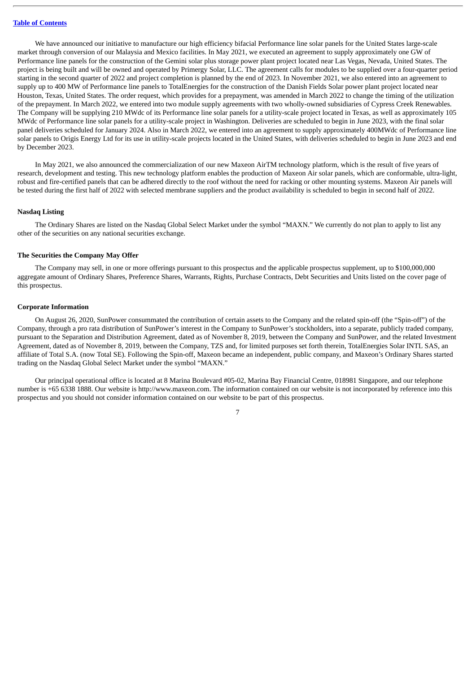We have announced our initiative to manufacture our high efficiency bifacial Performance line solar panels for the United States large-scale market through conversion of our Malaysia and Mexico facilities. In May 2021, we executed an agreement to supply approximately one GW of Performance line panels for the construction of the Gemini solar plus storage power plant project located near Las Vegas, Nevada, United States. The project is being built and will be owned and operated by Primergy Solar, LLC. The agreement calls for modules to be supplied over a four-quarter period starting in the second quarter of 2022 and project completion is planned by the end of 2023. In November 2021, we also entered into an agreement to supply up to 400 MW of Performance line panels to TotalEnergies for the construction of the Danish Fields Solar power plant project located near Houston, Texas, United States. The order request, which provides for a prepayment, was amended in March 2022 to change the timing of the utilization of the prepayment. In March 2022, we entered into two module supply agreements with two wholly-owned subsidiaries of Cypress Creek Renewables. The Company will be supplying 210 MWdc of its Performance line solar panels for a utility-scale project located in Texas, as well as approximately 105 MWdc of Performance line solar panels for a utility-scale project in Washington. Deliveries are scheduled to begin in June 2023, with the final solar panel deliveries scheduled for January 2024. Also in March 2022, we entered into an agreement to supply approximately 400MWdc of Performance line solar panels to Origis Energy Ltd for its use in utility-scale projects located in the United States, with deliveries scheduled to begin in June 2023 and end by December 2023.

In May 2021, we also announced the commercialization of our new Maxeon AirTM technology platform, which is the result of five years of research, development and testing. This new technology platform enables the production of Maxeon Air solar panels, which are conformable, ultra-light, robust and fire-certified panels that can be adhered directly to the roof without the need for racking or other mounting systems. Maxeon Air panels will be tested during the first half of 2022 with selected membrane suppliers and the product availability is scheduled to begin in second half of 2022.

#### **Nasdaq Listing**

The Ordinary Shares are listed on the Nasdaq Global Select Market under the symbol "MAXN." We currently do not plan to apply to list any other of the securities on any national securities exchange.

#### **The Securities the Company May Offer**

The Company may sell, in one or more offerings pursuant to this prospectus and the applicable prospectus supplement, up to \$100,000,000 aggregate amount of Ordinary Shares, Preference Shares, Warrants, Rights, Purchase Contracts, Debt Securities and Units listed on the cover page of this prospectus.

#### **Corporate Information**

On August 26, 2020, SunPower consummated the contribution of certain assets to the Company and the related spin-off (the "Spin-off") of the Company, through a pro rata distribution of SunPower's interest in the Company to SunPower's stockholders, into a separate, publicly traded company, pursuant to the Separation and Distribution Agreement, dated as of November 8, 2019, between the Company and SunPower, and the related Investment Agreement, dated as of November 8, 2019, between the Company, TZS and, for limited purposes set forth therein, TotalEnergies Solar INTL SAS, an affiliate of Total S.A. (now Total SE). Following the Spin-off, Maxeon became an independent, public company, and Maxeon's Ordinary Shares started trading on the Nasdaq Global Select Market under the symbol "MAXN."

Our principal operational office is located at 8 Marina Boulevard #05-02, Marina Bay Financial Centre, 018981 Singapore, and our telephone number is +65 6338 1888. Our website is http://www.maxeon.com. The information contained on our website is not incorporated by reference into this prospectus and you should not consider information contained on our website to be part of this prospectus.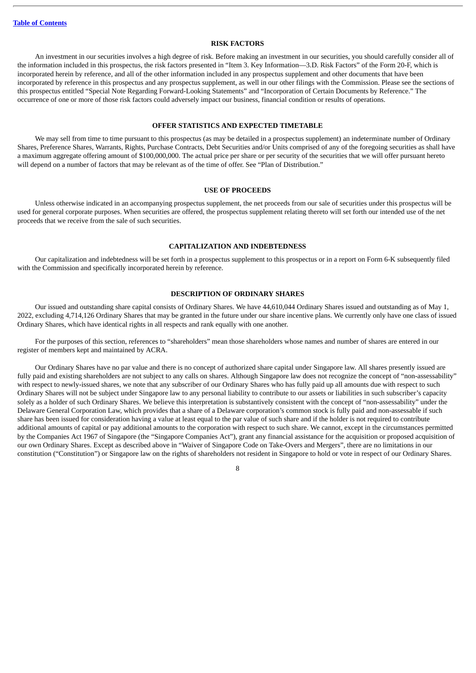#### **RISK FACTORS**

<span id="page-11-0"></span>An investment in our securities involves a high degree of risk. Before making an investment in our securities, you should carefully consider all of the information included in this prospectus, the risk factors presented in "Item 3. Key Information—3.D. Risk Factors" of the Form 20-F, which is incorporated herein by reference, and all of the other information included in any prospectus supplement and other documents that have been incorporated by reference in this prospectus and any prospectus supplement, as well in our other filings with the Commission. Please see the sections of this prospectus entitled "Special Note Regarding Forward-Looking Statements" and "Incorporation of Certain Documents by Reference." The occurrence of one or more of those risk factors could adversely impact our business, financial condition or results of operations.

#### **OFFER STATISTICS AND EXPECTED TIMETABLE**

<span id="page-11-1"></span>We may sell from time to time pursuant to this prospectus (as may be detailed in a prospectus supplement) an indeterminate number of Ordinary Shares, Preference Shares, Warrants, Rights, Purchase Contracts, Debt Securities and/or Units comprised of any of the foregoing securities as shall have a maximum aggregate offering amount of \$100,000,000. The actual price per share or per security of the securities that we will offer pursuant hereto will depend on a number of factors that may be relevant as of the time of offer. See "Plan of Distribution."

#### **USE OF PROCEEDS**

<span id="page-11-2"></span>Unless otherwise indicated in an accompanying prospectus supplement, the net proceeds from our sale of securities under this prospectus will be used for general corporate purposes. When securities are offered, the prospectus supplement relating thereto will set forth our intended use of the net proceeds that we receive from the sale of such securities.

#### **CAPITALIZATION AND INDEBTEDNESS**

<span id="page-11-3"></span>Our capitalization and indebtedness will be set forth in a prospectus supplement to this prospectus or in a report on Form 6-K subsequently filed with the Commission and specifically incorporated herein by reference.

#### **DESCRIPTION OF ORDINARY SHARES**

<span id="page-11-4"></span>Our issued and outstanding share capital consists of Ordinary Shares. We have 44,610,044 Ordinary Shares issued and outstanding as of May 1, 2022, excluding 4,714,126 Ordinary Shares that may be granted in the future under our share incentive plans. We currently only have one class of issued Ordinary Shares, which have identical rights in all respects and rank equally with one another.

For the purposes of this section, references to "shareholders" mean those shareholders whose names and number of shares are entered in our register of members kept and maintained by ACRA.

Our Ordinary Shares have no par value and there is no concept of authorized share capital under Singapore law. All shares presently issued are fully paid and existing shareholders are not subject to any calls on shares. Although Singapore law does not recognize the concept of "non-assessability" with respect to newly-issued shares, we note that any subscriber of our Ordinary Shares who has fully paid up all amounts due with respect to such Ordinary Shares will not be subject under Singapore law to any personal liability to contribute to our assets or liabilities in such subscriber's capacity solely as a holder of such Ordinary Shares. We believe this interpretation is substantively consistent with the concept of "non-assessability" under the Delaware General Corporation Law, which provides that a share of a Delaware corporation's common stock is fully paid and non-assessable if such share has been issued for consideration having a value at least equal to the par value of such share and if the holder is not required to contribute additional amounts of capital or pay additional amounts to the corporation with respect to such share. We cannot, except in the circumstances permitted by the Companies Act 1967 of Singapore (the "Singapore Companies Act"), grant any financial assistance for the acquisition or proposed acquisition of our own Ordinary Shares. Except as described above in "Waiver of Singapore Code on Take-Overs and Mergers", there are no limitations in our constitution ("Constitution") or Singapore law on the rights of shareholders not resident in Singapore to hold or vote in respect of our Ordinary Shares.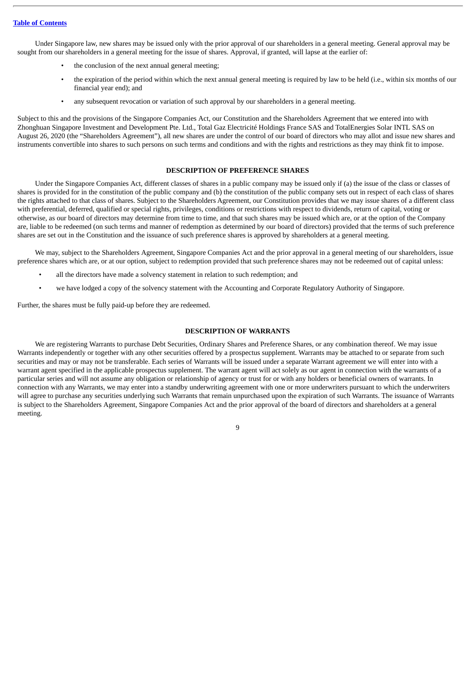Under Singapore law, new shares may be issued only with the prior approval of our shareholders in a general meeting. General approval may be sought from our shareholders in a general meeting for the issue of shares. Approval, if granted, will lapse at the earlier of:

- the conclusion of the next annual general meeting;
- the expiration of the period within which the next annual general meeting is required by law to be held (i.e., within six months of our financial year end); and
- any subsequent revocation or variation of such approval by our shareholders in a general meeting.

Subject to this and the provisions of the Singapore Companies Act, our Constitution and the Shareholders Agreement that we entered into with Zhonghuan Singapore Investment and Development Pte. Ltd., Total Gaz Electricité Holdings France SAS and TotalEnergies Solar INTL SAS on August 26, 2020 (the "Shareholders Agreement"), all new shares are under the control of our board of directors who may allot and issue new shares and instruments convertible into shares to such persons on such terms and conditions and with the rights and restrictions as they may think fit to impose.

#### **DESCRIPTION OF PREFERENCE SHARES**

<span id="page-12-0"></span>Under the Singapore Companies Act, different classes of shares in a public company may be issued only if (a) the issue of the class or classes of shares is provided for in the constitution of the public company and (b) the constitution of the public company sets out in respect of each class of shares the rights attached to that class of shares. Subject to the Shareholders Agreement, our Constitution provides that we may issue shares of a different class with preferential, deferred, qualified or special rights, privileges, conditions or restrictions with respect to dividends, return of capital, voting or otherwise, as our board of directors may determine from time to time, and that such shares may be issued which are, or at the option of the Company are, liable to be redeemed (on such terms and manner of redemption as determined by our board of directors) provided that the terms of such preference shares are set out in the Constitution and the issuance of such preference shares is approved by shareholders at a general meeting.

We may, subject to the Shareholders Agreement, Singapore Companies Act and the prior approval in a general meeting of our shareholders, issue preference shares which are, or at our option, subject to redemption provided that such preference shares may not be redeemed out of capital unless:

- all the directors have made a solvency statement in relation to such redemption; and
- we have lodged a copy of the solvency statement with the Accounting and Corporate Regulatory Authority of Singapore.

Further, the shares must be fully paid-up before they are redeemed.

#### **DESCRIPTION OF WARRANTS**

<span id="page-12-1"></span>We are registering Warrants to purchase Debt Securities, Ordinary Shares and Preference Shares, or any combination thereof. We may issue Warrants independently or together with any other securities offered by a prospectus supplement. Warrants may be attached to or separate from such securities and may or may not be transferable. Each series of Warrants will be issued under a separate Warrant agreement we will enter into with a warrant agent specified in the applicable prospectus supplement. The warrant agent will act solely as our agent in connection with the warrants of a particular series and will not assume any obligation or relationship of agency or trust for or with any holders or beneficial owners of warrants. In connection with any Warrants, we may enter into a standby underwriting agreement with one or more underwriters pursuant to which the underwriters will agree to purchase any securities underlying such Warrants that remain unpurchased upon the expiration of such Warrants. The issuance of Warrants is subject to the Shareholders Agreement, Singapore Companies Act and the prior approval of the board of directors and shareholders at a general meeting.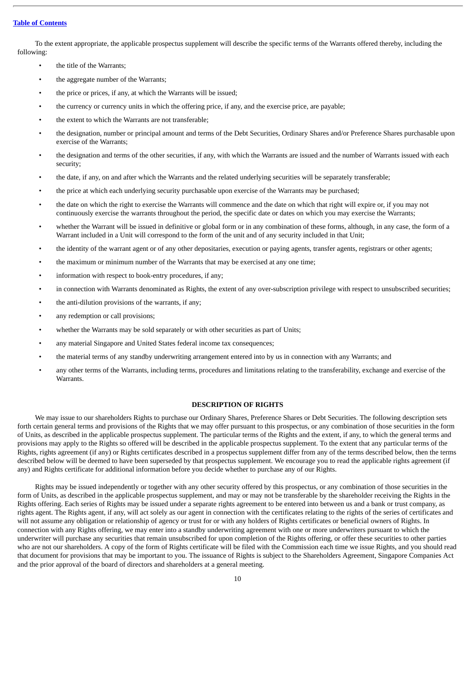To the extent appropriate, the applicable prospectus supplement will describe the specific terms of the Warrants offered thereby, including the following:

- the title of the Warrants;
- the aggregate number of the Warrants;
- the price or prices, if any, at which the Warrants will be issued;
- the currency or currency units in which the offering price, if any, and the exercise price, are payable;
- the extent to which the Warrants are not transferable;
- the designation, number or principal amount and terms of the Debt Securities, Ordinary Shares and/or Preference Shares purchasable upon exercise of the Warrants;
- the designation and terms of the other securities, if any, with which the Warrants are issued and the number of Warrants issued with each security;
- the date, if any, on and after which the Warrants and the related underlying securities will be separately transferable;
- the price at which each underlying security purchasable upon exercise of the Warrants may be purchased;
- the date on which the right to exercise the Warrants will commence and the date on which that right will expire or, if you may not continuously exercise the warrants throughout the period, the specific date or dates on which you may exercise the Warrants;
- whether the Warrant will be issued in definitive or global form or in any combination of these forms, although, in any case, the form of a Warrant included in a Unit will correspond to the form of the unit and of any security included in that Unit;
- the identity of the warrant agent or of any other depositaries, execution or paying agents, transfer agents, registrars or other agents;
- the maximum or minimum number of the Warrants that may be exercised at any one time;
- information with respect to book-entry procedures, if any;
- in connection with Warrants denominated as Rights, the extent of any over-subscription privilege with respect to unsubscribed securities;
- the anti-dilution provisions of the warrants, if any;
- any redemption or call provisions;
- whether the Warrants may be sold separately or with other securities as part of Units;
- any material Singapore and United States federal income tax consequences;
- the material terms of any standby underwriting arrangement entered into by us in connection with any Warrants; and
- any other terms of the Warrants, including terms, procedures and limitations relating to the transferability, exchange and exercise of the Warrants.

#### **DESCRIPTION OF RIGHTS**

<span id="page-13-0"></span>We may issue to our shareholders Rights to purchase our Ordinary Shares, Preference Shares or Debt Securities. The following description sets forth certain general terms and provisions of the Rights that we may offer pursuant to this prospectus, or any combination of those securities in the form of Units, as described in the applicable prospectus supplement. The particular terms of the Rights and the extent, if any, to which the general terms and provisions may apply to the Rights so offered will be described in the applicable prospectus supplement. To the extent that any particular terms of the Rights, rights agreement (if any) or Rights certificates described in a prospectus supplement differ from any of the terms described below, then the terms described below will be deemed to have been superseded by that prospectus supplement. We encourage you to read the applicable rights agreement (if any) and Rights certificate for additional information before you decide whether to purchase any of our Rights.

Rights may be issued independently or together with any other security offered by this prospectus, or any combination of those securities in the form of Units, as described in the applicable prospectus supplement, and may or may not be transferable by the shareholder receiving the Rights in the Rights offering. Each series of Rights may be issued under a separate rights agreement to be entered into between us and a bank or trust company, as rights agent. The Rights agent, if any, will act solely as our agent in connection with the certificates relating to the rights of the series of certificates and will not assume any obligation or relationship of agency or trust for or with any holders of Rights certificates or beneficial owners of Rights. In connection with any Rights offering, we may enter into a standby underwriting agreement with one or more underwriters pursuant to which the underwriter will purchase any securities that remain unsubscribed for upon completion of the Rights offering, or offer these securities to other parties who are not our shareholders. A copy of the form of Rights certificate will be filed with the Commission each time we issue Rights, and you should read that document for provisions that may be important to you. The issuance of Rights is subject to the Shareholders Agreement, Singapore Companies Act and the prior approval of the board of directors and shareholders at a general meeting.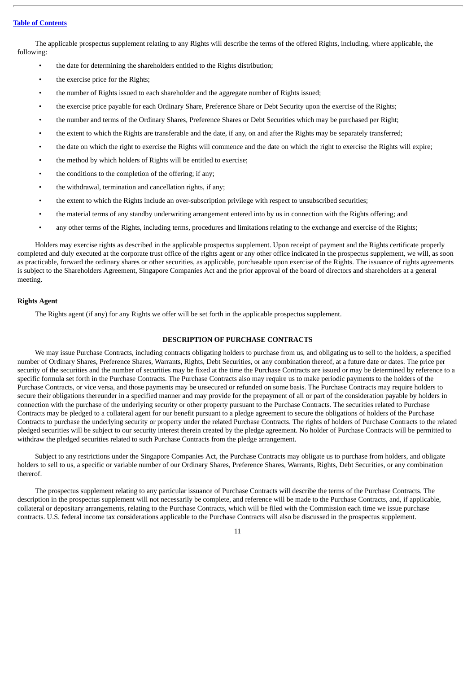The applicable prospectus supplement relating to any Rights will describe the terms of the offered Rights, including, where applicable, the following:

- the date for determining the shareholders entitled to the Rights distribution;
- the exercise price for the Rights:
- the number of Rights issued to each shareholder and the aggregate number of Rights issued;
- the exercise price payable for each Ordinary Share, Preference Share or Debt Security upon the exercise of the Rights;
- the number and terms of the Ordinary Shares, Preference Shares or Debt Securities which may be purchased per Right;
- the extent to which the Rights are transferable and the date, if any, on and after the Rights may be separately transferred;
- the date on which the right to exercise the Rights will commence and the date on which the right to exercise the Rights will expire;
- the method by which holders of Rights will be entitled to exercise;
- the conditions to the completion of the offering; if any;
- the withdrawal, termination and cancellation rights, if any;
- the extent to which the Rights include an over-subscription privilege with respect to unsubscribed securities;
- the material terms of any standby underwriting arrangement entered into by us in connection with the Rights offering; and
- any other terms of the Rights, including terms, procedures and limitations relating to the exchange and exercise of the Rights;

Holders may exercise rights as described in the applicable prospectus supplement. Upon receipt of payment and the Rights certificate properly completed and duly executed at the corporate trust office of the rights agent or any other office indicated in the prospectus supplement, we will, as soon as practicable, forward the ordinary shares or other securities, as applicable, purchasable upon exercise of the Rights. The issuance of rights agreements is subject to the Shareholders Agreement, Singapore Companies Act and the prior approval of the board of directors and shareholders at a general meeting.

#### **Rights Agent**

The Rights agent (if any) for any Rights we offer will be set forth in the applicable prospectus supplement.

#### **DESCRIPTION OF PURCHASE CONTRACTS**

<span id="page-14-0"></span>We may issue Purchase Contracts, including contracts obligating holders to purchase from us, and obligating us to sell to the holders, a specified number of Ordinary Shares, Preference Shares, Warrants, Rights, Debt Securities, or any combination thereof, at a future date or dates. The price per security of the securities and the number of securities may be fixed at the time the Purchase Contracts are issued or may be determined by reference to a specific formula set forth in the Purchase Contracts. The Purchase Contracts also may require us to make periodic payments to the holders of the Purchase Contracts, or vice versa, and those payments may be unsecured or refunded on some basis. The Purchase Contracts may require holders to secure their obligations thereunder in a specified manner and may provide for the prepayment of all or part of the consideration payable by holders in connection with the purchase of the underlying security or other property pursuant to the Purchase Contracts. The securities related to Purchase Contracts may be pledged to a collateral agent for our benefit pursuant to a pledge agreement to secure the obligations of holders of the Purchase Contracts to purchase the underlying security or property under the related Purchase Contracts. The rights of holders of Purchase Contracts to the related pledged securities will be subject to our security interest therein created by the pledge agreement. No holder of Purchase Contracts will be permitted to withdraw the pledged securities related to such Purchase Contracts from the pledge arrangement.

Subject to any restrictions under the Singapore Companies Act, the Purchase Contracts may obligate us to purchase from holders, and obligate holders to sell to us, a specific or variable number of our Ordinary Shares, Preference Shares, Warrants, Rights, Debt Securities, or any combination thererof.

The prospectus supplement relating to any particular issuance of Purchase Contracts will describe the terms of the Purchase Contracts. The description in the prospectus supplement will not necessarily be complete, and reference will be made to the Purchase Contracts, and, if applicable, collateral or depositary arrangements, relating to the Purchase Contracts, which will be filed with the Commission each time we issue purchase contracts. U.S. federal income tax considerations applicable to the Purchase Contracts will also be discussed in the prospectus supplement.

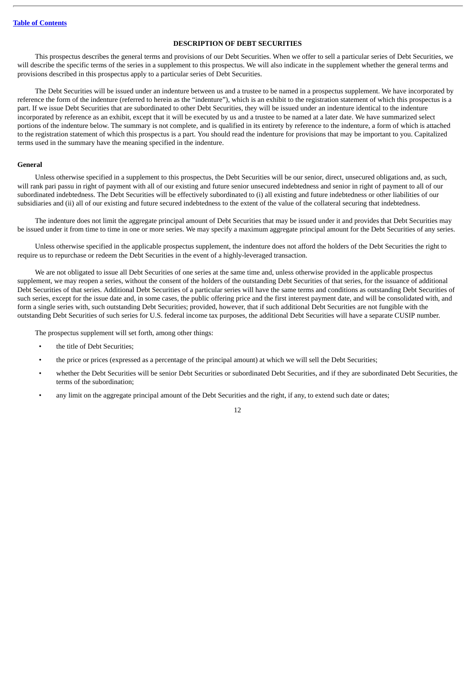#### **DESCRIPTION OF DEBT SECURITIES**

<span id="page-15-0"></span>This prospectus describes the general terms and provisions of our Debt Securities. When we offer to sell a particular series of Debt Securities, we will describe the specific terms of the series in a supplement to this prospectus. We will also indicate in the supplement whether the general terms and provisions described in this prospectus apply to a particular series of Debt Securities.

The Debt Securities will be issued under an indenture between us and a trustee to be named in a prospectus supplement. We have incorporated by reference the form of the indenture (referred to herein as the "indenture"), which is an exhibit to the registration statement of which this prospectus is a part. If we issue Debt Securities that are subordinated to other Debt Securities, they will be issued under an indenture identical to the indenture incorporated by reference as an exhibit, except that it will be executed by us and a trustee to be named at a later date. We have summarized select portions of the indenture below. The summary is not complete, and is qualified in its entirety by reference to the indenture, a form of which is attached to the registration statement of which this prospectus is a part. You should read the indenture for provisions that may be important to you. Capitalized terms used in the summary have the meaning specified in the indenture.

#### **General**

Unless otherwise specified in a supplement to this prospectus, the Debt Securities will be our senior, direct, unsecured obligations and, as such, will rank pari passu in right of payment with all of our existing and future senior unsecured indebtedness and senior in right of payment to all of our subordinated indebtedness. The Debt Securities will be effectively subordinated to (i) all existing and future indebtedness or other liabilities of our subsidiaries and (ii) all of our existing and future secured indebtedness to the extent of the value of the collateral securing that indebtedness.

The indenture does not limit the aggregate principal amount of Debt Securities that may be issued under it and provides that Debt Securities may be issued under it from time to time in one or more series. We may specify a maximum aggregate principal amount for the Debt Securities of any series.

Unless otherwise specified in the applicable prospectus supplement, the indenture does not afford the holders of the Debt Securities the right to require us to repurchase or redeem the Debt Securities in the event of a highly-leveraged transaction.

We are not obligated to issue all Debt Securities of one series at the same time and, unless otherwise provided in the applicable prospectus supplement, we may reopen a series, without the consent of the holders of the outstanding Debt Securities of that series, for the issuance of additional Debt Securities of that series. Additional Debt Securities of a particular series will have the same terms and conditions as outstanding Debt Securities of such series, except for the issue date and, in some cases, the public offering price and the first interest payment date, and will be consolidated with, and form a single series with, such outstanding Debt Securities; provided, however, that if such additional Debt Securities are not fungible with the outstanding Debt Securities of such series for U.S. federal income tax purposes, the additional Debt Securities will have a separate CUSIP number.

The prospectus supplement will set forth, among other things:

- the title of Debt Securities;
- the price or prices (expressed as a percentage of the principal amount) at which we will sell the Debt Securities;
- whether the Debt Securities will be senior Debt Securities or subordinated Debt Securities, and if they are subordinated Debt Securities, the terms of the subordination;
- any limit on the aggregate principal amount of the Debt Securities and the right, if any, to extend such date or dates;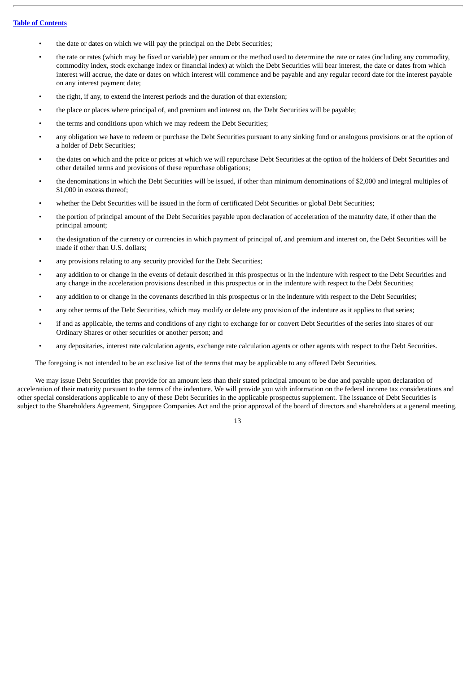- the date or dates on which we will pay the principal on the Debt Securities;
- the rate or rates (which may be fixed or variable) per annum or the method used to determine the rate or rates (including any commodity, commodity index, stock exchange index or financial index) at which the Debt Securities will bear interest, the date or dates from which interest will accrue, the date or dates on which interest will commence and be payable and any regular record date for the interest payable on any interest payment date;
- the right, if any, to extend the interest periods and the duration of that extension;
- the place or places where principal of, and premium and interest on, the Debt Securities will be payable;
- the terms and conditions upon which we may redeem the Debt Securities;
- any obligation we have to redeem or purchase the Debt Securities pursuant to any sinking fund or analogous provisions or at the option of a holder of Debt Securities;
- the dates on which and the price or prices at which we will repurchase Debt Securities at the option of the holders of Debt Securities and other detailed terms and provisions of these repurchase obligations;
- the denominations in which the Debt Securities will be issued, if other than minimum denominations of \$2,000 and integral multiples of \$1,000 in excess thereof;
- whether the Debt Securities will be issued in the form of certificated Debt Securities or global Debt Securities;
- the portion of principal amount of the Debt Securities payable upon declaration of acceleration of the maturity date, if other than the principal amount;
- the designation of the currency or currencies in which payment of principal of, and premium and interest on, the Debt Securities will be made if other than U.S. dollars;
- any provisions relating to any security provided for the Debt Securities;
- any addition to or change in the events of default described in this prospectus or in the indenture with respect to the Debt Securities and any change in the acceleration provisions described in this prospectus or in the indenture with respect to the Debt Securities;
- any addition to or change in the covenants described in this prospectus or in the indenture with respect to the Debt Securities;
- any other terms of the Debt Securities, which may modify or delete any provision of the indenture as it applies to that series;
- if and as applicable, the terms and conditions of any right to exchange for or convert Debt Securities of the series into shares of our Ordinary Shares or other securities or another person; and
- any depositaries, interest rate calculation agents, exchange rate calculation agents or other agents with respect to the Debt Securities.

The foregoing is not intended to be an exclusive list of the terms that may be applicable to any offered Debt Securities.

We may issue Debt Securities that provide for an amount less than their stated principal amount to be due and payable upon declaration of acceleration of their maturity pursuant to the terms of the indenture. We will provide you with information on the federal income tax considerations and other special considerations applicable to any of these Debt Securities in the applicable prospectus supplement. The issuance of Debt Securities is subject to the Shareholders Agreement, Singapore Companies Act and the prior approval of the board of directors and shareholders at a general meeting.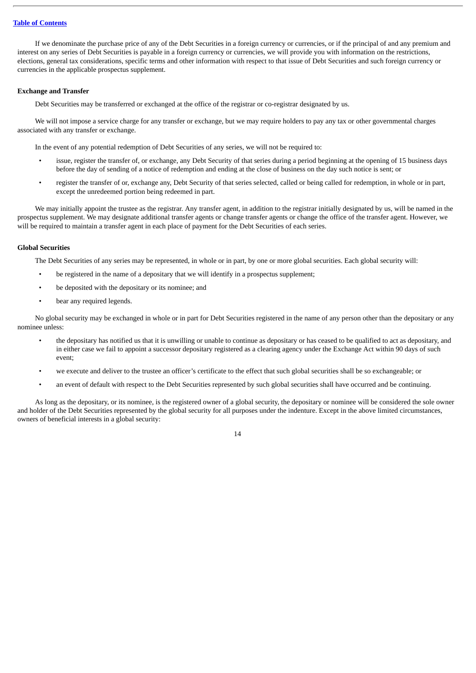If we denominate the purchase price of any of the Debt Securities in a foreign currency or currencies, or if the principal of and any premium and interest on any series of Debt Securities is payable in a foreign currency or currencies, we will provide you with information on the restrictions, elections, general tax considerations, specific terms and other information with respect to that issue of Debt Securities and such foreign currency or currencies in the applicable prospectus supplement.

#### **Exchange and Transfer**

Debt Securities may be transferred or exchanged at the office of the registrar or co-registrar designated by us.

We will not impose a service charge for any transfer or exchange, but we may require holders to pay any tax or other governmental charges associated with any transfer or exchange.

In the event of any potential redemption of Debt Securities of any series, we will not be required to:

- issue, register the transfer of, or exchange, any Debt Security of that series during a period beginning at the opening of 15 business days before the day of sending of a notice of redemption and ending at the close of business on the day such notice is sent; or
- register the transfer of or, exchange any, Debt Security of that series selected, called or being called for redemption, in whole or in part, except the unredeemed portion being redeemed in part.

We may initially appoint the trustee as the registrar. Any transfer agent, in addition to the registrar initially designated by us, will be named in the prospectus supplement. We may designate additional transfer agents or change transfer agents or change the office of the transfer agent. However, we will be required to maintain a transfer agent in each place of payment for the Debt Securities of each series.

#### **Global Securities**

The Debt Securities of any series may be represented, in whole or in part, by one or more global securities. Each global security will:

- be registered in the name of a depositary that we will identify in a prospectus supplement;
- be deposited with the depositary or its nominee; and
- bear any required legends.

No global security may be exchanged in whole or in part for Debt Securities registered in the name of any person other than the depositary or any nominee unless:

- the depositary has notified us that it is unwilling or unable to continue as depositary or has ceased to be qualified to act as depositary, and in either case we fail to appoint a successor depositary registered as a clearing agency under the Exchange Act within 90 days of such event;
- we execute and deliver to the trustee an officer's certificate to the effect that such global securities shall be so exchangeable; or
- an event of default with respect to the Debt Securities represented by such global securities shall have occurred and be continuing.

As long as the depositary, or its nominee, is the registered owner of a global security, the depositary or nominee will be considered the sole owner and holder of the Debt Securities represented by the global security for all purposes under the indenture. Except in the above limited circumstances, owners of beneficial interests in a global security: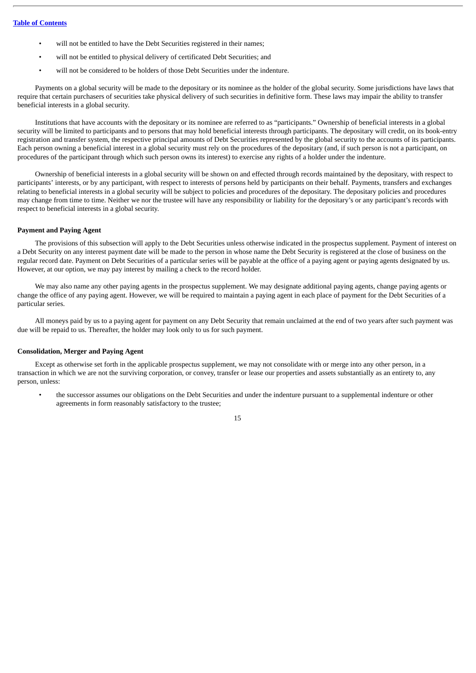- will not be entitled to have the Debt Securities registered in their names;
- will not be entitled to physical delivery of certificated Debt Securities; and
- will not be considered to be holders of those Debt Securities under the indenture.

Payments on a global security will be made to the depositary or its nominee as the holder of the global security. Some jurisdictions have laws that require that certain purchasers of securities take physical delivery of such securities in definitive form. These laws may impair the ability to transfer beneficial interests in a global security.

Institutions that have accounts with the depositary or its nominee are referred to as "participants." Ownership of beneficial interests in a global security will be limited to participants and to persons that may hold beneficial interests through participants. The depositary will credit, on its book-entry registration and transfer system, the respective principal amounts of Debt Securities represented by the global security to the accounts of its participants. Each person owning a beneficial interest in a global security must rely on the procedures of the depositary (and, if such person is not a participant, on procedures of the participant through which such person owns its interest) to exercise any rights of a holder under the indenture.

Ownership of beneficial interests in a global security will be shown on and effected through records maintained by the depositary, with respect to participants' interests, or by any participant, with respect to interests of persons held by participants on their behalf. Payments, transfers and exchanges relating to beneficial interests in a global security will be subject to policies and procedures of the depositary. The depositary policies and procedures may change from time to time. Neither we nor the trustee will have any responsibility or liability for the depositary's or any participant's records with respect to beneficial interests in a global security.

#### **Payment and Paying Agent**

The provisions of this subsection will apply to the Debt Securities unless otherwise indicated in the prospectus supplement. Payment of interest on a Debt Security on any interest payment date will be made to the person in whose name the Debt Security is registered at the close of business on the regular record date. Payment on Debt Securities of a particular series will be payable at the office of a paying agent or paying agents designated by us. However, at our option, we may pay interest by mailing a check to the record holder.

We may also name any other paying agents in the prospectus supplement. We may designate additional paying agents, change paying agents or change the office of any paying agent. However, we will be required to maintain a paying agent in each place of payment for the Debt Securities of a particular series.

All moneys paid by us to a paying agent for payment on any Debt Security that remain unclaimed at the end of two years after such payment was due will be repaid to us. Thereafter, the holder may look only to us for such payment.

#### **Consolidation, Merger and Paying Agent**

Except as otherwise set forth in the applicable prospectus supplement, we may not consolidate with or merge into any other person, in a transaction in which we are not the surviving corporation, or convey, transfer or lease our properties and assets substantially as an entirety to, any person, unless:

• the successor assumes our obligations on the Debt Securities and under the indenture pursuant to a supplemental indenture or other agreements in form reasonably satisfactory to the trustee;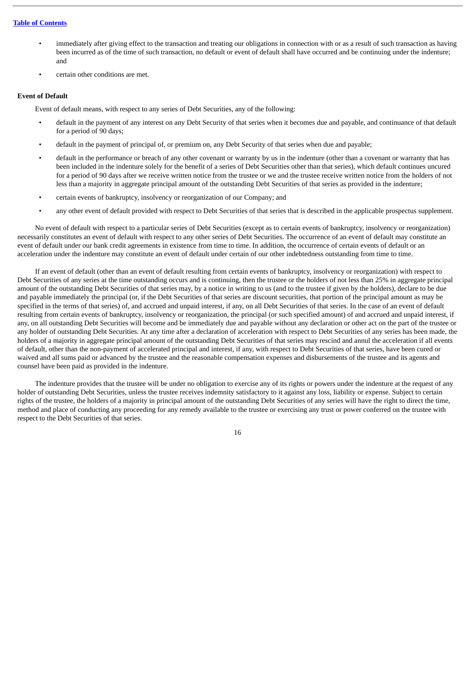- immediately after giving effect to the transaction and treating our obligations in connection with or as a result of such transaction as having been incurred as of the time of such transaction, no default or event of default shall have occurred and be continuing under the indenture; and
- certain other conditions are met.

#### **Event of Default**

Event of default means, with respect to any series of Debt Securities, any of the following:

- default in the payment of any interest on any Debt Security of that series when it becomes due and payable, and continuance of that default for a period of 90 days;
- default in the payment of principal of, or premium on, any Debt Security of that series when due and payable;
- default in the performance or breach of any other covenant or warranty by us in the indenture (other than a covenant or warranty that has been included in the indenture solely for the benefit of a series of Debt Securities other than that series), which default continues uncured for a period of 90 days after we receive written notice from the trustee or we and the trustee receive written notice from the holders of not less than a majority in aggregate principal amount of the outstanding Debt Securities of that series as provided in the indenture;
- certain events of bankruptcy, insolvency or reorganization of our Company; and
- any other event of default provided with respect to Debt Securities of that series that is described in the applicable prospectus supplement.

No event of default with respect to a particular series of Debt Securities (except as to certain events of bankruptcy, insolvency or reorganization) necessarily constitutes an event of default with respect to any other series of Debt Securities. The occurrence of an event of default may constitute an event of default under our bank credit agreements in existence from time to time. In addition, the occurrence of certain events of default or an acceleration under the indenture may constitute an event of default under certain of our other indebtedness outstanding from time to time.

If an event of default (other than an event of default resulting from certain events of bankruptcy, insolvency or reorganization) with respect to Debt Securities of any series at the time outstanding occurs and is continuing, then the trustee or the holders of not less than 25% in aggregate principal amount of the outstanding Debt Securities of that series may, by a notice in writing to us (and to the trustee if given by the holders), declare to be due and payable immediately the principal (or, if the Debt Securities of that series are discount securities, that portion of the principal amount as may be specified in the terms of that series) of, and accrued and unpaid interest, if any, on all Debt Securities of that series. In the case of an event of default resulting from certain events of bankruptcy, insolvency or reorganization, the principal (or such specified amount) of and accrued and unpaid interest, if any, on all outstanding Debt Securities will become and be immediately due and payable without any declaration or other act on the part of the trustee or any holder of outstanding Debt Securities. At any time after a declaration of acceleration with respect to Debt Securities of any series has been made, the holders of a majority in aggregate principal amount of the outstanding Debt Securities of that series may rescind and annul the acceleration if all events of default, other than the non-payment of accelerated principal and interest, if any, with respect to Debt Securities of that series, have been cured or waived and all sums paid or advanced by the trustee and the reasonable compensation expenses and disbursements of the trustee and its agents and counsel have been paid as provided in the indenture.

The indenture provides that the trustee will be under no obligation to exercise any of its rights or powers under the indenture at the request of any holder of outstanding Debt Securities, unless the trustee receives indemnity satisfactory to it against any loss, liability or expense. Subject to certain rights of the trustee, the holders of a majority in principal amount of the outstanding Debt Securities of any series will have the right to direct the time, method and place of conducting any proceeding for any remedy available to the trustee or exercising any trust or power conferred on the trustee with respect to the Debt Securities of that series.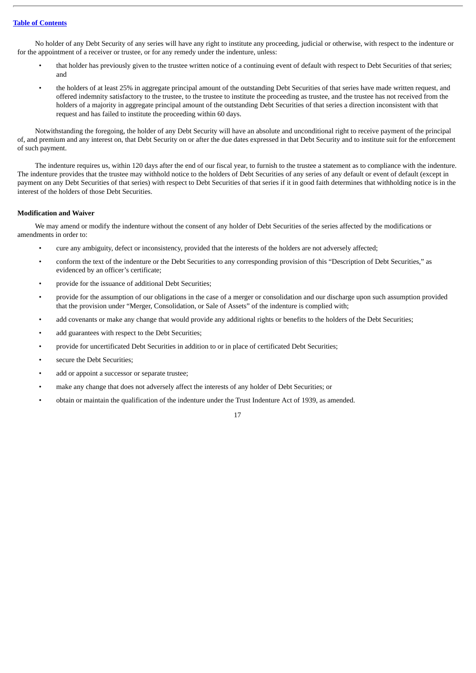No holder of any Debt Security of any series will have any right to institute any proceeding, judicial or otherwise, with respect to the indenture or for the appointment of a receiver or trustee, or for any remedy under the indenture, unless:

- that holder has previously given to the trustee written notice of a continuing event of default with respect to Debt Securities of that series; and
- the holders of at least 25% in aggregate principal amount of the outstanding Debt Securities of that series have made written request, and offered indemnity satisfactory to the trustee, to the trustee to institute the proceeding as trustee, and the trustee has not received from the holders of a majority in aggregate principal amount of the outstanding Debt Securities of that series a direction inconsistent with that request and has failed to institute the proceeding within 60 days.

Notwithstanding the foregoing, the holder of any Debt Security will have an absolute and unconditional right to receive payment of the principal of, and premium and any interest on, that Debt Security on or after the due dates expressed in that Debt Security and to institute suit for the enforcement of such payment.

The indenture requires us, within 120 days after the end of our fiscal year, to furnish to the trustee a statement as to compliance with the indenture. The indenture provides that the trustee may withhold notice to the holders of Debt Securities of any series of any default or event of default (except in payment on any Debt Securities of that series) with respect to Debt Securities of that series if it in good faith determines that withholding notice is in the interest of the holders of those Debt Securities.

#### **Modification and Waiver**

We may amend or modify the indenture without the consent of any holder of Debt Securities of the series affected by the modifications or amendments in order to:

- cure any ambiguity, defect or inconsistency, provided that the interests of the holders are not adversely affected;
- conform the text of the indenture or the Debt Securities to any corresponding provision of this "Description of Debt Securities," as evidenced by an officer's certificate;
- provide for the issuance of additional Debt Securities;
- provide for the assumption of our obligations in the case of a merger or consolidation and our discharge upon such assumption provided that the provision under "Merger, Consolidation, or Sale of Assets" of the indenture is complied with;
- add covenants or make any change that would provide any additional rights or benefits to the holders of the Debt Securities;
- add guarantees with respect to the Debt Securities;
- provide for uncertificated Debt Securities in addition to or in place of certificated Debt Securities;
- secure the Debt Securities;
- add or appoint a successor or separate trustee;
- make any change that does not adversely affect the interests of any holder of Debt Securities; or
- obtain or maintain the qualification of the indenture under the Trust Indenture Act of 1939, as amended.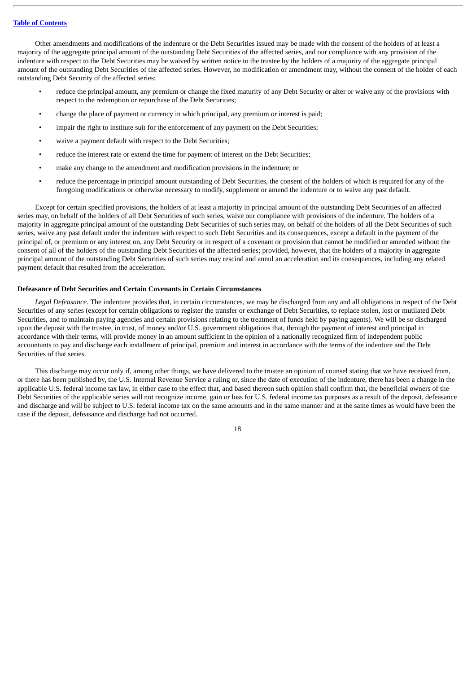Other amendments and modifications of the indenture or the Debt Securities issued may be made with the consent of the holders of at least a majority of the aggregate principal amount of the outstanding Debt Securities of the affected series, and our compliance with any provision of the indenture with respect to the Debt Securities may be waived by written notice to the trustee by the holders of a majority of the aggregate principal amount of the outstanding Debt Securities of the affected series. However, no modification or amendment may, without the consent of the holder of each outstanding Debt Security of the affected series:

- reduce the principal amount, any premium or change the fixed maturity of any Debt Security or alter or waive any of the provisions with respect to the redemption or repurchase of the Debt Securities;
- change the place of payment or currency in which principal, any premium or interest is paid;
- impair the right to institute suit for the enforcement of any payment on the Debt Securities;
- waive a payment default with respect to the Debt Securities;
- reduce the interest rate or extend the time for payment of interest on the Debt Securities;
- make any change to the amendment and modification provisions in the indenture; or
- reduce the percentage in principal amount outstanding of Debt Securities, the consent of the holders of which is required for any of the foregoing modifications or otherwise necessary to modify, supplement or amend the indenture or to waive any past default.

Except for certain specified provisions, the holders of at least a majority in principal amount of the outstanding Debt Securities of an affected series may, on behalf of the holders of all Debt Securities of such series, waive our compliance with provisions of the indenture. The holders of a majority in aggregate principal amount of the outstanding Debt Securities of such series may, on behalf of the holders of all the Debt Securities of such series, waive any past default under the indenture with respect to such Debt Securities and its consequences, except a default in the payment of the principal of, or premium or any interest on, any Debt Security or in respect of a covenant or provision that cannot be modified or amended without the consent of all of the holders of the outstanding Debt Securities of the affected series; provided, however, that the holders of a majority in aggregate principal amount of the outstanding Debt Securities of such series may rescind and annul an acceleration and its consequences, including any related payment default that resulted from the acceleration.

#### **Defeasance of Debt Securities and Certain Covenants in Certain Circumstances**

*Legal Defeasance*. The indenture provides that, in certain circumstances, we may be discharged from any and all obligations in respect of the Debt Securities of any series (except for certain obligations to register the transfer or exchange of Debt Securities, to replace stolen, lost or mutilated Debt Securities, and to maintain paying agencies and certain provisions relating to the treatment of funds held by paying agents). We will be so discharged upon the deposit with the trustee, in trust, of money and/or U.S. government obligations that, through the payment of interest and principal in accordance with their terms, will provide money in an amount sufficient in the opinion of a nationally recognized firm of independent public accountants to pay and discharge each installment of principal, premium and interest in accordance with the terms of the indenture and the Debt Securities of that series.

This discharge may occur only if, among other things, we have delivered to the trustee an opinion of counsel stating that we have received from, or there has been published by, the U.S. Internal Revenue Service a ruling or, since the date of execution of the indenture, there has been a change in the applicable U.S. federal income tax law, in either case to the effect that, and based thereon such opinion shall confirm that, the beneficial owners of the Debt Securities of the applicable series will not recognize income, gain or loss for U.S. federal income tax purposes as a result of the deposit, defeasance and discharge and will be subject to U.S. federal income tax on the same amounts and in the same manner and at the same times as would have been the case if the deposit, defeasance and discharge had not occurred.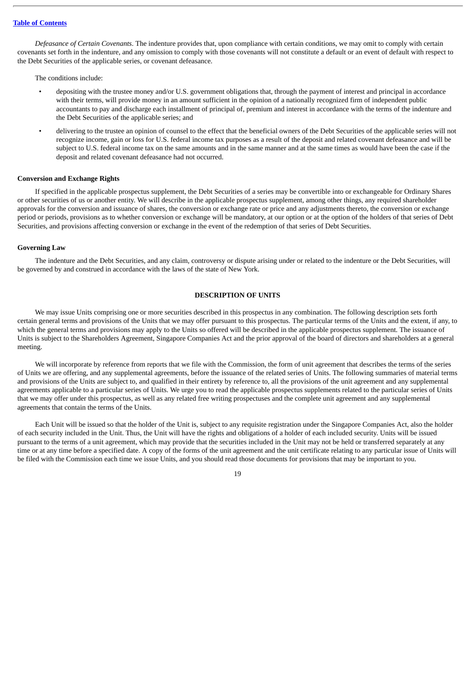*Defeasance of Certain Covenants*. The indenture provides that, upon compliance with certain conditions, we may omit to comply with certain covenants set forth in the indenture, and any omission to comply with those covenants will not constitute a default or an event of default with respect to the Debt Securities of the applicable series, or covenant defeasance.

The conditions include:

- depositing with the trustee money and/or U.S. government obligations that, through the payment of interest and principal in accordance with their terms, will provide money in an amount sufficient in the opinion of a nationally recognized firm of independent public accountants to pay and discharge each installment of principal of, premium and interest in accordance with the terms of the indenture and the Debt Securities of the applicable series; and
- delivering to the trustee an opinion of counsel to the effect that the beneficial owners of the Debt Securities of the applicable series will not recognize income, gain or loss for U.S. federal income tax purposes as a result of the deposit and related covenant defeasance and will be subject to U.S. federal income tax on the same amounts and in the same manner and at the same times as would have been the case if the deposit and related covenant defeasance had not occurred.

#### **Conversion and Exchange Rights**

If specified in the applicable prospectus supplement, the Debt Securities of a series may be convertible into or exchangeable for Ordinary Shares or other securities of us or another entity. We will describe in the applicable prospectus supplement, among other things, any required shareholder approvals for the conversion and issuance of shares, the conversion or exchange rate or price and any adjustments thereto, the conversion or exchange period or periods, provisions as to whether conversion or exchange will be mandatory, at our option or at the option of the holders of that series of Debt Securities, and provisions affecting conversion or exchange in the event of the redemption of that series of Debt Securities.

#### **Governing Law**

The indenture and the Debt Securities, and any claim, controversy or dispute arising under or related to the indenture or the Debt Securities, will be governed by and construed in accordance with the laws of the state of New York.

#### **DESCRIPTION OF UNITS**

<span id="page-22-0"></span>We may issue Units comprising one or more securities described in this prospectus in any combination. The following description sets forth certain general terms and provisions of the Units that we may offer pursuant to this prospectus. The particular terms of the Units and the extent, if any, to which the general terms and provisions may apply to the Units so offered will be described in the applicable prospectus supplement. The issuance of Units is subject to the Shareholders Agreement, Singapore Companies Act and the prior approval of the board of directors and shareholders at a general meeting.

We will incorporate by reference from reports that we file with the Commission, the form of unit agreement that describes the terms of the series of Units we are offering, and any supplemental agreements, before the issuance of the related series of Units. The following summaries of material terms and provisions of the Units are subject to, and qualified in their entirety by reference to, all the provisions of the unit agreement and any supplemental agreements applicable to a particular series of Units. We urge you to read the applicable prospectus supplements related to the particular series of Units that we may offer under this prospectus, as well as any related free writing prospectuses and the complete unit agreement and any supplemental agreements that contain the terms of the Units.

Each Unit will be issued so that the holder of the Unit is, subject to any requisite registration under the Singapore Companies Act, also the holder of each security included in the Unit. Thus, the Unit will have the rights and obligations of a holder of each included security. Units will be issued pursuant to the terms of a unit agreement, which may provide that the securities included in the Unit may not be held or transferred separately at any time or at any time before a specified date. A copy of the forms of the unit agreement and the unit certificate relating to any particular issue of Units will be filed with the Commission each time we issue Units, and you should read those documents for provisions that may be important to you.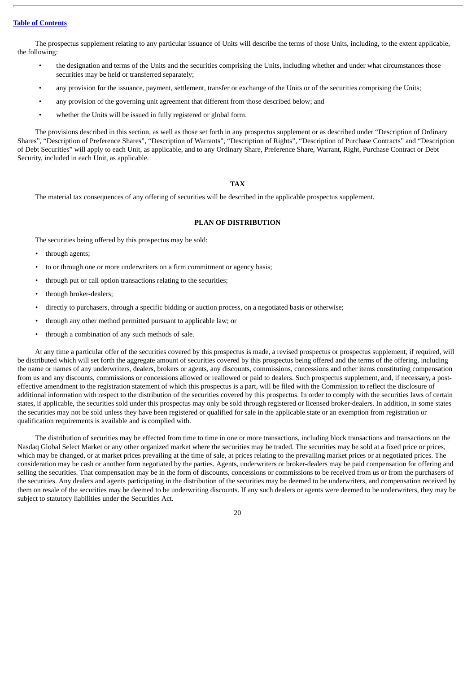The prospectus supplement relating to any particular issuance of Units will describe the terms of those Units, including, to the extent applicable, the following:

- the designation and terms of the Units and the securities comprising the Units, including whether and under what circumstances those securities may be held or transferred separately;
- any provision for the issuance, payment, settlement, transfer or exchange of the Units or of the securities comprising the Units;
- any provision of the governing unit agreement that different from those described below; and
- whether the Units will be issued in fully registered or global form.

The provisions described in this section, as well as those set forth in any prospectus supplement or as described under "Description of Ordinary Shares", "Description of Preference Shares", "Description of Warrants", "Description of Rights", "Description of Purchase Contracts" and "Description of Debt Securities" will apply to each Unit, as applicable, and to any Ordinary Share, Preference Share, Warrant, Right, Purchase Contract or Debt Security, included in each Unit, as applicable.

#### **TAX**

<span id="page-23-0"></span>The material tax consequences of any offering of securities will be described in the applicable prospectus supplement.

#### **PLAN OF DISTRIBUTION**

<span id="page-23-1"></span>The securities being offered by this prospectus may be sold:

- through agents;
- to or through one or more underwriters on a firm commitment or agency basis;
- through put or call option transactions relating to the securities;
- through broker-dealers;
- directly to purchasers, through a specific bidding or auction process, on a negotiated basis or otherwise;
- through any other method permitted pursuant to applicable law; or
- through a combination of any such methods of sale.

At any time a particular offer of the securities covered by this prospectus is made, a revised prospectus or prospectus supplement, if required, will be distributed which will set forth the aggregate amount of securities covered by this prospectus being offered and the terms of the offering, including the name or names of any underwriters, dealers, brokers or agents, any discounts, commissions, concessions and other items constituting compensation from us and any discounts, commissions or concessions allowed or reallowed or paid to dealers. Such prospectus supplement, and, if necessary, a posteffective amendment to the registration statement of which this prospectus is a part, will be filed with the Commission to reflect the disclosure of additional information with respect to the distribution of the securities covered by this prospectus. In order to comply with the securities laws of certain states, if applicable, the securities sold under this prospectus may only be sold through registered or licensed broker-dealers. In addition, in some states the securities may not be sold unless they have been registered or qualified for sale in the applicable state or an exemption from registration or qualification requirements is available and is complied with.

The distribution of securities may be effected from time to time in one or more transactions, including block transactions and transactions on the Nasdaq Global Select Market or any other organized market where the securities may be traded. The securities may be sold at a fixed price or prices, which may be changed, or at market prices prevailing at the time of sale, at prices relating to the prevailing market prices or at negotiated prices. The consideration may be cash or another form negotiated by the parties. Agents, underwriters or broker-dealers may be paid compensation for offering and selling the securities. That compensation may be in the form of discounts, concessions or commissions to be received from us or from the purchasers of the securities. Any dealers and agents participating in the distribution of the securities may be deemed to be underwriters, and compensation received by them on resale of the securities may be deemed to be underwriting discounts. If any such dealers or agents were deemed to be underwriters, they may be subject to statutory liabilities under the Securities Act.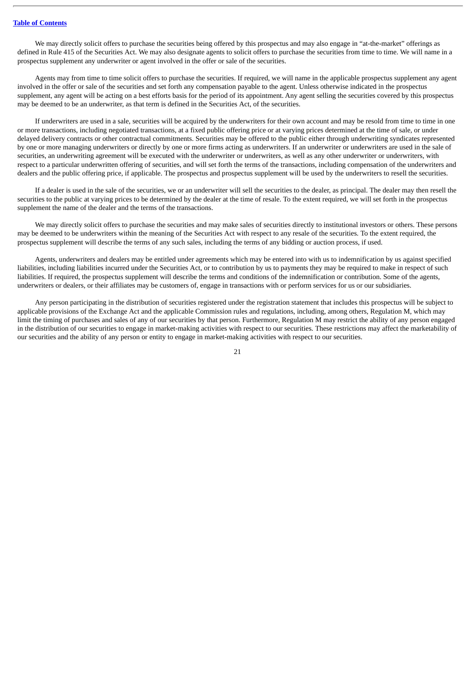We may directly solicit offers to purchase the securities being offered by this prospectus and may also engage in "at-the-market" offerings as defined in Rule 415 of the Securities Act. We may also designate agents to solicit offers to purchase the securities from time to time. We will name in a prospectus supplement any underwriter or agent involved in the offer or sale of the securities.

Agents may from time to time solicit offers to purchase the securities. If required, we will name in the applicable prospectus supplement any agent involved in the offer or sale of the securities and set forth any compensation payable to the agent. Unless otherwise indicated in the prospectus supplement, any agent will be acting on a best efforts basis for the period of its appointment. Any agent selling the securities covered by this prospectus may be deemed to be an underwriter, as that term is defined in the Securities Act, of the securities.

If underwriters are used in a sale, securities will be acquired by the underwriters for their own account and may be resold from time to time in one or more transactions, including negotiated transactions, at a fixed public offering price or at varying prices determined at the time of sale, or under delayed delivery contracts or other contractual commitments. Securities may be offered to the public either through underwriting syndicates represented by one or more managing underwriters or directly by one or more firms acting as underwriters. If an underwriter or underwriters are used in the sale of securities, an underwriting agreement will be executed with the underwriter or underwriters, as well as any other underwriter or underwriters, with respect to a particular underwritten offering of securities, and will set forth the terms of the transactions, including compensation of the underwriters and dealers and the public offering price, if applicable. The prospectus and prospectus supplement will be used by the underwriters to resell the securities.

If a dealer is used in the sale of the securities, we or an underwriter will sell the securities to the dealer, as principal. The dealer may then resell the securities to the public at varying prices to be determined by the dealer at the time of resale. To the extent required, we will set forth in the prospectus supplement the name of the dealer and the terms of the transactions.

We may directly solicit offers to purchase the securities and may make sales of securities directly to institutional investors or others. These persons may be deemed to be underwriters within the meaning of the Securities Act with respect to any resale of the securities. To the extent required, the prospectus supplement will describe the terms of any such sales, including the terms of any bidding or auction process, if used.

Agents, underwriters and dealers may be entitled under agreements which may be entered into with us to indemnification by us against specified liabilities, including liabilities incurred under the Securities Act, or to contribution by us to payments they may be required to make in respect of such liabilities. If required, the prospectus supplement will describe the terms and conditions of the indemnification or contribution. Some of the agents, underwriters or dealers, or their affiliates may be customers of, engage in transactions with or perform services for us or our subsidiaries.

Any person participating in the distribution of securities registered under the registration statement that includes this prospectus will be subject to applicable provisions of the Exchange Act and the applicable Commission rules and regulations, including, among others, Regulation M, which may limit the timing of purchases and sales of any of our securities by that person. Furthermore, Regulation M may restrict the ability of any person engaged in the distribution of our securities to engage in market-making activities with respect to our securities. These restrictions may affect the marketability of our securities and the ability of any person or entity to engage in market-making activities with respect to our securities.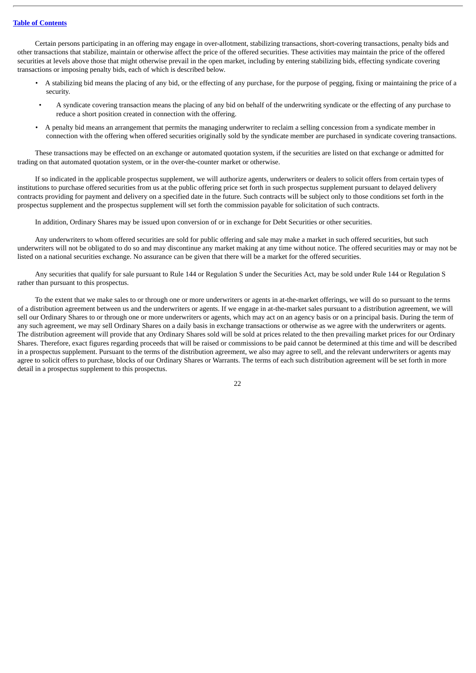Certain persons participating in an offering may engage in over-allotment, stabilizing transactions, short-covering transactions, penalty bids and other transactions that stabilize, maintain or otherwise affect the price of the offered securities. These activities may maintain the price of the offered securities at levels above those that might otherwise prevail in the open market, including by entering stabilizing bids, effecting syndicate covering transactions or imposing penalty bids, each of which is described below.

- A stabilizing bid means the placing of any bid, or the effecting of any purchase, for the purpose of pegging, fixing or maintaining the price of a security.
- A syndicate covering transaction means the placing of any bid on behalf of the underwriting syndicate or the effecting of any purchase to reduce a short position created in connection with the offering.
- A penalty bid means an arrangement that permits the managing underwriter to reclaim a selling concession from a syndicate member in connection with the offering when offered securities originally sold by the syndicate member are purchased in syndicate covering transactions.

These transactions may be effected on an exchange or automated quotation system, if the securities are listed on that exchange or admitted for trading on that automated quotation system, or in the over-the-counter market or otherwise.

If so indicated in the applicable prospectus supplement, we will authorize agents, underwriters or dealers to solicit offers from certain types of institutions to purchase offered securities from us at the public offering price set forth in such prospectus supplement pursuant to delayed delivery contracts providing for payment and delivery on a specified date in the future. Such contracts will be subject only to those conditions set forth in the prospectus supplement and the prospectus supplement will set forth the commission payable for solicitation of such contracts.

In addition, Ordinary Shares may be issued upon conversion of or in exchange for Debt Securities or other securities.

Any underwriters to whom offered securities are sold for public offering and sale may make a market in such offered securities, but such underwriters will not be obligated to do so and may discontinue any market making at any time without notice. The offered securities may or may not be listed on a national securities exchange. No assurance can be given that there will be a market for the offered securities.

Any securities that qualify for sale pursuant to Rule 144 or Regulation S under the Securities Act, may be sold under Rule 144 or Regulation S rather than pursuant to this prospectus.

To the extent that we make sales to or through one or more underwriters or agents in at-the-market offerings, we will do so pursuant to the terms of a distribution agreement between us and the underwriters or agents. If we engage in at-the-market sales pursuant to a distribution agreement, we will sell our Ordinary Shares to or through one or more underwriters or agents, which may act on an agency basis or on a principal basis. During the term of any such agreement, we may sell Ordinary Shares on a daily basis in exchange transactions or otherwise as we agree with the underwriters or agents. The distribution agreement will provide that any Ordinary Shares sold will be sold at prices related to the then prevailing market prices for our Ordinary Shares. Therefore, exact figures regarding proceeds that will be raised or commissions to be paid cannot be determined at this time and will be described in a prospectus supplement. Pursuant to the terms of the distribution agreement, we also may agree to sell, and the relevant underwriters or agents may agree to solicit offers to purchase, blocks of our Ordinary Shares or Warrants. The terms of each such distribution agreement will be set forth in more detail in a prospectus supplement to this prospectus.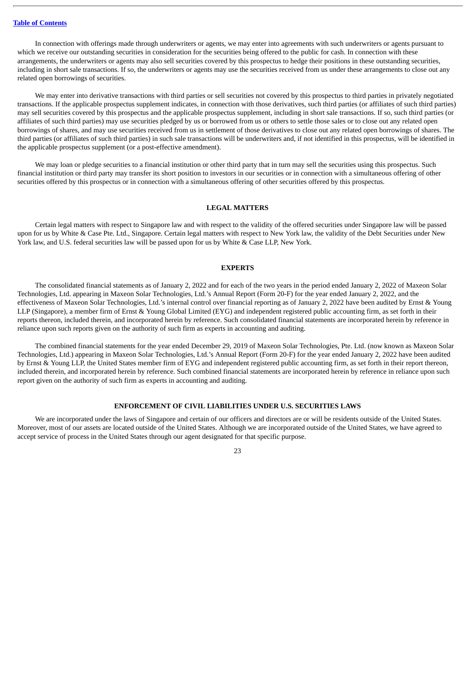In connection with offerings made through underwriters or agents, we may enter into agreements with such underwriters or agents pursuant to which we receive our outstanding securities in consideration for the securities being offered to the public for cash. In connection with these arrangements, the underwriters or agents may also sell securities covered by this prospectus to hedge their positions in these outstanding securities, including in short sale transactions. If so, the underwriters or agents may use the securities received from us under these arrangements to close out any related open borrowings of securities.

We may enter into derivative transactions with third parties or sell securities not covered by this prospectus to third parties in privately negotiated transactions. If the applicable prospectus supplement indicates, in connection with those derivatives, such third parties (or affiliates of such third parties) may sell securities covered by this prospectus and the applicable prospectus supplement, including in short sale transactions. If so, such third parties (or affiliates of such third parties) may use securities pledged by us or borrowed from us or others to settle those sales or to close out any related open borrowings of shares, and may use securities received from us in settlement of those derivatives to close out any related open borrowings of shares. The third parties (or affiliates of such third parties) in such sale transactions will be underwriters and, if not identified in this prospectus, will be identified in the applicable prospectus supplement (or a post-effective amendment).

We may loan or pledge securities to a financial institution or other third party that in turn may sell the securities using this prospectus. Such financial institution or third party may transfer its short position to investors in our securities or in connection with a simultaneous offering of other securities offered by this prospectus or in connection with a simultaneous offering of other securities offered by this prospectus.

#### **LEGAL MATTERS**

<span id="page-26-0"></span>Certain legal matters with respect to Singapore law and with respect to the validity of the offered securities under Singapore law will be passed upon for us by White & Case Pte. Ltd., Singapore. Certain legal matters with respect to New York law, the validity of the Debt Securities under New York law, and U.S. federal securities law will be passed upon for us by White & Case LLP, New York.

#### **EXPERTS**

<span id="page-26-1"></span>The consolidated financial statements as of January 2, 2022 and for each of the two years in the period ended January 2, 2022 of Maxeon Solar Technologies, Ltd. appearing in Maxeon Solar Technologies, Ltd.'s Annual Report (Form 20-F) for the year ended January 2, 2022, and the effectiveness of Maxeon Solar Technologies, Ltd.'s internal control over financial reporting as of January 2, 2022 have been audited by Ernst & Young LLP (Singapore), a member firm of Ernst & Young Global Limited (EYG) and independent registered public accounting firm, as set forth in their reports thereon, included therein, and incorporated herein by reference. Such consolidated financial statements are incorporated herein by reference in reliance upon such reports given on the authority of such firm as experts in accounting and auditing.

The combined financial statements for the year ended December 29, 2019 of Maxeon Solar Technologies, Pte. Ltd. (now known as Maxeon Solar Technologies, Ltd.) appearing in Maxeon Solar Technologies, Ltd.'s Annual Report (Form 20-F) for the year ended January 2, 2022 have been audited by Ernst & Young LLP, the United States member firm of EYG and independent registered public accounting firm, as set forth in their report thereon, included therein, and incorporated herein by reference. Such combined financial statements are incorporated herein by reference in reliance upon such report given on the authority of such firm as experts in accounting and auditing.

#### **ENFORCEMENT OF CIVIL LIABILITIES UNDER U.S. SECURITIES LAWS**

<span id="page-26-2"></span>We are incorporated under the laws of Singapore and certain of our officers and directors are or will be residents outside of the United States. Moreover, most of our assets are located outside of the United States. Although we are incorporated outside of the United States, we have agreed to accept service of process in the United States through our agent designated for that specific purpose.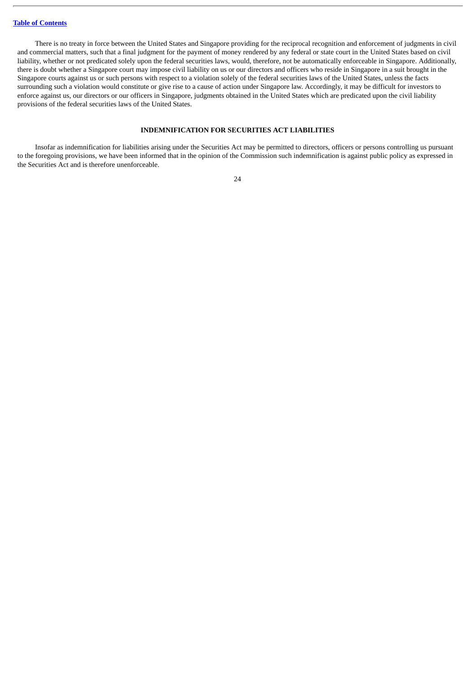There is no treaty in force between the United States and Singapore providing for the reciprocal recognition and enforcement of judgments in civil and commercial matters, such that a final judgment for the payment of money rendered by any federal or state court in the United States based on civil liability, whether or not predicated solely upon the federal securities laws, would, therefore, not be automatically enforceable in Singapore. Additionally, there is doubt whether a Singapore court may impose civil liability on us or our directors and officers who reside in Singapore in a suit brought in the Singapore courts against us or such persons with respect to a violation solely of the federal securities laws of the United States, unless the facts surrounding such a violation would constitute or give rise to a cause of action under Singapore law. Accordingly, it may be difficult for investors to enforce against us, our directors or our officers in Singapore, judgments obtained in the United States which are predicated upon the civil liability provisions of the federal securities laws of the United States.

#### **INDEMNIFICATION FOR SECURITIES ACT LIABILITIES**

<span id="page-27-0"></span>Insofar as indemnification for liabilities arising under the Securities Act may be permitted to directors, officers or persons controlling us pursuant to the foregoing provisions, we have been informed that in the opinion of the Commission such indemnification is against public policy as expressed in the Securities Act and is therefore unenforceable.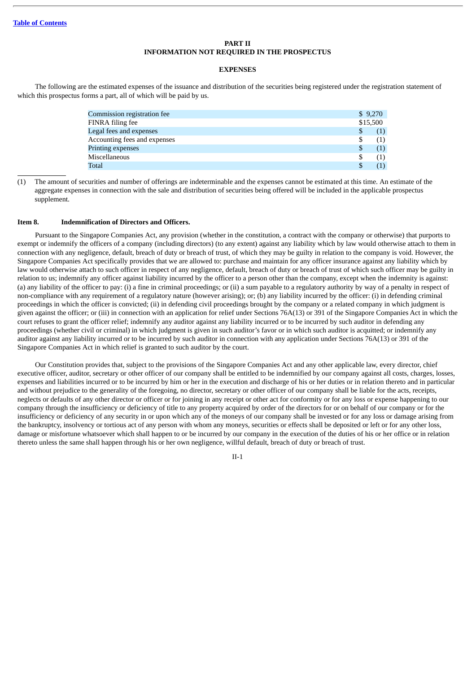#### **PART II INFORMATION NOT REQUIRED IN THE PROSPECTUS**

#### **EXPENSES**

<span id="page-28-0"></span>The following are the estimated expenses of the issuance and distribution of the securities being registered under the registration statement of which this prospectus forms a part, all of which will be paid by us.

| Commission registration fee  | \$9,270   |
|------------------------------|-----------|
| FINRA filing fee             | \$15,500  |
| Legal fees and expenses      | \$<br>(1) |
| Accounting fees and expenses | \$<br>(1) |
| <b>Printing expenses</b>     | \$<br>(1) |
| Miscellaneous                | \$<br>(1) |
| Total                        |           |

(1) The amount of securities and number of offerings are indeterminable and the expenses cannot be estimated at this time. An estimate of the aggregate expenses in connection with the sale and distribution of securities being offered will be included in the applicable prospectus supplement.

#### **Item 8. Indemnification of Directors and Officers.**

Pursuant to the Singapore Companies Act, any provision (whether in the constitution, a contract with the company or otherwise) that purports to exempt or indemnify the officers of a company (including directors) (to any extent) against any liability which by law would otherwise attach to them in connection with any negligence, default, breach of duty or breach of trust, of which they may be guilty in relation to the company is void. However, the Singapore Companies Act specifically provides that we are allowed to: purchase and maintain for any officer insurance against any liability which by law would otherwise attach to such officer in respect of any negligence, default, breach of duty or breach of trust of which such officer may be guilty in relation to us; indemnify any officer against liability incurred by the officer to a person other than the company, except when the indemnity is against: (a) any liability of the officer to pay: (i) a fine in criminal proceedings; or (ii) a sum payable to a regulatory authority by way of a penalty in respect of non-compliance with any requirement of a regulatory nature (however arising); or; (b) any liability incurred by the officer: (i) in defending criminal proceedings in which the officer is convicted; (ii) in defending civil proceedings brought by the company or a related company in which judgment is given against the officer; or (iii) in connection with an application for relief under Sections 76A(13) or 391 of the Singapore Companies Act in which the court refuses to grant the officer relief; indemnify any auditor against any liability incurred or to be incurred by such auditor in defending any proceedings (whether civil or criminal) in which judgment is given in such auditor's favor or in which such auditor is acquitted; or indemnify any auditor against any liability incurred or to be incurred by such auditor in connection with any application under Sections 76A(13) or 391 of the Singapore Companies Act in which relief is granted to such auditor by the court.

Our Constitution provides that, subject to the provisions of the Singapore Companies Act and any other applicable law, every director, chief executive officer, auditor, secretary or other officer of our company shall be entitled to be indemnified by our company against all costs, charges, losses, expenses and liabilities incurred or to be incurred by him or her in the execution and discharge of his or her duties or in relation thereto and in particular and without prejudice to the generality of the foregoing, no director, secretary or other officer of our company shall be liable for the acts, receipts, neglects or defaults of any other director or officer or for joining in any receipt or other act for conformity or for any loss or expense happening to our company through the insufficiency or deficiency of title to any property acquired by order of the directors for or on behalf of our company or for the insufficiency or deficiency of any security in or upon which any of the moneys of our company shall be invested or for any loss or damage arising from the bankruptcy, insolvency or tortious act of any person with whom any moneys, securities or effects shall be deposited or left or for any other loss, damage or misfortune whatsoever which shall happen to or be incurred by our company in the execution of the duties of his or her office or in relation thereto unless the same shall happen through his or her own negligence, willful default, breach of duty or breach of trust.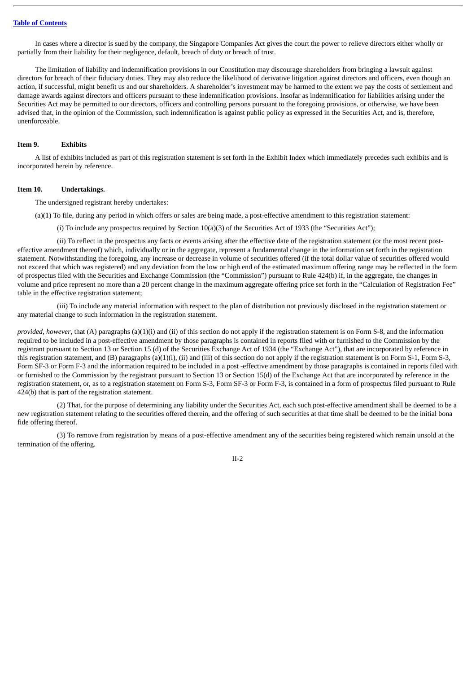In cases where a director is sued by the company, the Singapore Companies Act gives the court the power to relieve directors either wholly or partially from their liability for their negligence, default, breach of duty or breach of trust.

The limitation of liability and indemnification provisions in our Constitution may discourage shareholders from bringing a lawsuit against directors for breach of their fiduciary duties. They may also reduce the likelihood of derivative litigation against directors and officers, even though an action, if successful, might benefit us and our shareholders. A shareholder's investment may be harmed to the extent we pay the costs of settlement and damage awards against directors and officers pursuant to these indemnification provisions. Insofar as indemnification for liabilities arising under the Securities Act may be permitted to our directors, officers and controlling persons pursuant to the foregoing provisions, or otherwise, we have been advised that, in the opinion of the Commission, such indemnification is against public policy as expressed in the Securities Act, and is, therefore, unenforceable.

#### **Item 9. Exhibits**

A list of exhibits included as part of this registration statement is set forth in the Exhibit Index which immediately precedes such exhibits and is incorporated herein by reference.

#### **Item 10. Undertakings.**

The undersigned registrant hereby undertakes:

(a)(1) To file, during any period in which offers or sales are being made, a post-effective amendment to this registration statement:

(i) To include any prospectus required by Section 10(a)(3) of the Securities Act of 1933 (the "Securities Act");

(ii) To reflect in the prospectus any facts or events arising after the effective date of the registration statement (or the most recent posteffective amendment thereof) which, individually or in the aggregate, represent a fundamental change in the information set forth in the registration statement. Notwithstanding the foregoing, any increase or decrease in volume of securities offered (if the total dollar value of securities offered would not exceed that which was registered) and any deviation from the low or high end of the estimated maximum offering range may be reflected in the form of prospectus filed with the Securities and Exchange Commission (the "Commission") pursuant to Rule 424(b) if, in the aggregate, the changes in volume and price represent no more than a 20 percent change in the maximum aggregate offering price set forth in the "Calculation of Registration Fee" table in the effective registration statement;

(iii) To include any material information with respect to the plan of distribution not previously disclosed in the registration statement or any material change to such information in the registration statement.

*provided, however*, that (A) paragraphs (a)(1)(i) and (ii) of this section do not apply if the registration statement is on Form S-8, and the information required to be included in a post-effective amendment by those paragraphs is contained in reports filed with or furnished to the Commission by the registrant pursuant to Section 13 or Section 15 (d) of the Securities Exchange Act of 1934 (the "Exchange Act"), that are incorporated by reference in this registration statement, and (B) paragraphs (a)(1)(i), (ii) and (iii) of this section do not apply if the registration statement is on Form S-1, Form S-3, Form SF-3 or Form F-3 and the information required to be included in a post -effective amendment by those paragraphs is contained in reports filed with or furnished to the Commission by the registrant pursuant to Section 13 or Section 15(d) of the Exchange Act that are incorporated by reference in the registration statement, or, as to a registration statement on Form S-3, Form SF-3 or Form F-3, is contained in a form of prospectus filed pursuant to Rule 424(b) that is part of the registration statement.

(2) That, for the purpose of determining any liability under the Securities Act, each such post-effective amendment shall be deemed to be a new registration statement relating to the securities offered therein, and the offering of such securities at that time shall be deemed to be the initial bona fide offering thereof.

(3) To remove from registration by means of a post-effective amendment any of the securities being registered which remain unsold at the termination of the offering.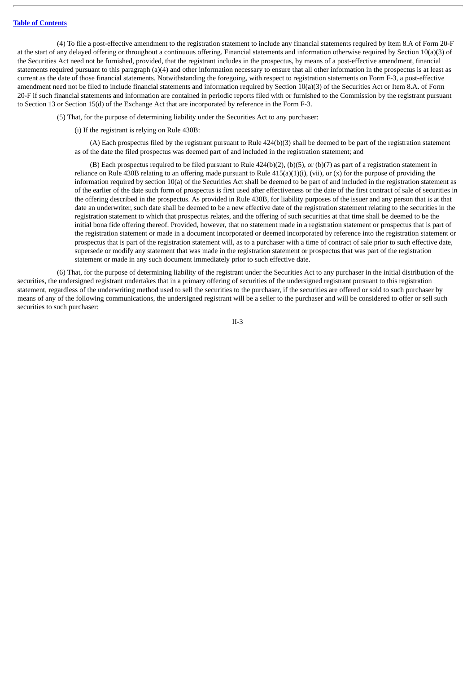(4) To file a post-effective amendment to the registration statement to include any financial statements required by Item 8.A of Form 20-F at the start of any delayed offering or throughout a continuous offering. Financial statements and information otherwise required by Section 10(a)(3) of the Securities Act need not be furnished, provided, that the registrant includes in the prospectus, by means of a post-effective amendment, financial statements required pursuant to this paragraph (a)(4) and other information necessary to ensure that all other information in the prospectus is at least as current as the date of those financial statements. Notwithstanding the foregoing, with respect to registration statements on Form F-3, a post-effective amendment need not be filed to include financial statements and information required by Section 10(a)(3) of the Securities Act or Item 8.A. of Form 20-F if such financial statements and information are contained in periodic reports filed with or furnished to the Commission by the registrant pursuant to Section 13 or Section 15(d) of the Exchange Act that are incorporated by reference in the Form F-3.

(5) That, for the purpose of determining liability under the Securities Act to any purchaser:

(i) If the registrant is relying on Rule 430B:

(A) Each prospectus filed by the registrant pursuant to Rule 424(b)(3) shall be deemed to be part of the registration statement as of the date the filed prospectus was deemed part of and included in the registration statement; and

(B) Each prospectus required to be filed pursuant to Rule 424(b)(2), (b)(5), or (b)(7) as part of a registration statement in reliance on Rule 430B relating to an offering made pursuant to Rule  $415(a)(1)(i)$ , (vii), or (x) for the purpose of providing the information required by section 10(a) of the Securities Act shall be deemed to be part of and included in the registration statement as of the earlier of the date such form of prospectus is first used after effectiveness or the date of the first contract of sale of securities in the offering described in the prospectus. As provided in Rule 430B, for liability purposes of the issuer and any person that is at that date an underwriter, such date shall be deemed to be a new effective date of the registration statement relating to the securities in the registration statement to which that prospectus relates, and the offering of such securities at that time shall be deemed to be the initial bona fide offering thereof. Provided, however, that no statement made in a registration statement or prospectus that is part of the registration statement or made in a document incorporated or deemed incorporated by reference into the registration statement or prospectus that is part of the registration statement will, as to a purchaser with a time of contract of sale prior to such effective date, supersede or modify any statement that was made in the registration statement or prospectus that was part of the registration statement or made in any such document immediately prior to such effective date.

(6) That, for the purpose of determining liability of the registrant under the Securities Act to any purchaser in the initial distribution of the securities, the undersigned registrant undertakes that in a primary offering of securities of the undersigned registrant pursuant to this registration statement, regardless of the underwriting method used to sell the securities to the purchaser, if the securities are offered or sold to such purchaser by means of any of the following communications, the undersigned registrant will be a seller to the purchaser and will be considered to offer or sell such securities to such purchaser: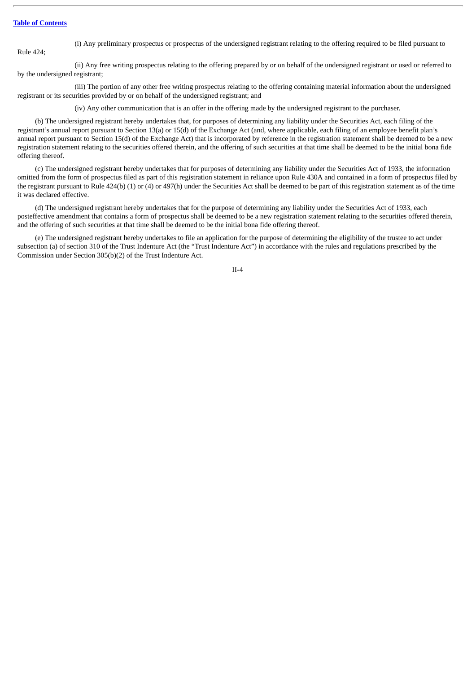(i) Any preliminary prospectus or prospectus of the undersigned registrant relating to the offering required to be filed pursuant to

Rule 424;

(ii) Any free writing prospectus relating to the offering prepared by or on behalf of the undersigned registrant or used or referred to by the undersigned registrant;

(iii) The portion of any other free writing prospectus relating to the offering containing material information about the undersigned registrant or its securities provided by or on behalf of the undersigned registrant; and

(iv) Any other communication that is an offer in the offering made by the undersigned registrant to the purchaser.

(b) The undersigned registrant hereby undertakes that, for purposes of determining any liability under the Securities Act, each filing of the registrant's annual report pursuant to Section 13(a) or 15(d) of the Exchange Act (and, where applicable, each filing of an employee benefit plan's annual report pursuant to Section 15(d) of the Exchange Act) that is incorporated by reference in the registration statement shall be deemed to be a new registration statement relating to the securities offered therein, and the offering of such securities at that time shall be deemed to be the initial bona fide offering thereof.

(c) The undersigned registrant hereby undertakes that for purposes of determining any liability under the Securities Act of 1933, the information omitted from the form of prospectus filed as part of this registration statement in reliance upon Rule 430A and contained in a form of prospectus filed by the registrant pursuant to Rule  $424(b)$  (1) or (4) or  $497(h)$  under the Securities Act shall be deemed to be part of this registration statement as of the time it was declared effective.

(d) The undersigned registrant hereby undertakes that for the purpose of determining any liability under the Securities Act of 1933, each posteffective amendment that contains a form of prospectus shall be deemed to be a new registration statement relating to the securities offered therein, and the offering of such securities at that time shall be deemed to be the initial bona fide offering thereof.

(e) The undersigned registrant hereby undertakes to file an application for the purpose of determining the eligibility of the trustee to act under subsection (a) of section 310 of the Trust Indenture Act (the "Trust Indenture Act") in accordance with the rules and regulations prescribed by the Commission under Section 305(b)(2) of the Trust Indenture Act.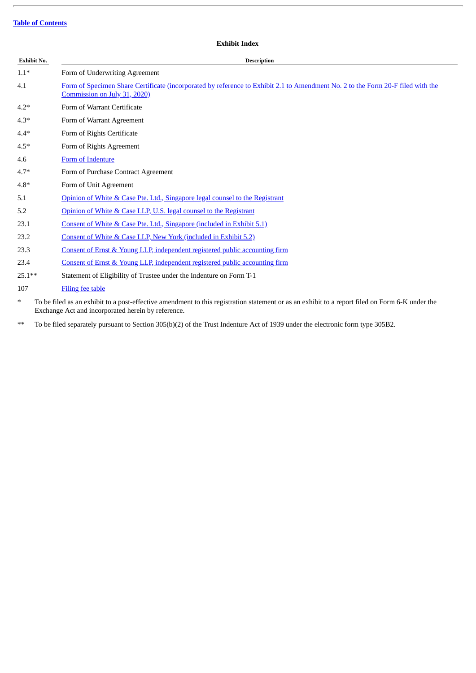# **Exhibit No. Description** 1.1\* Form of Underwriting Agreement 4.1 Form of Specimen Share Certificate [\(incorporated](http://www.sec.gov/Archives/edgar/data/1796898/000119312520185794/d822476dex21.htm) by reference to Exhibit 2.1 to Amendment No. 2 to the Form 20-F filed with the Commission on July 31, 2020) 4.2\* Form of Warrant Certificate 4.3\* Form of Warrant Agreement 4.4\* Form of Rights Certificate 4.5\* Form of Rights Agreement 4.6 Form of [Indenture](http://www.sec.gov/Archives/edgar/data/0001796898/000119312520238241/d91294dex44.htm) 4.7\* Form of Purchase Contract Agreement 4.8\* Form of Unit Agreement 5.1 Opinion of White & Case Pte. Ltd., Singapore legal counsel to the [Registrant](#page-36-0) 5.2 Opinion of White & Case LLP, U.S. legal counsel to the [Registrant](#page-46-0) 23.1 Consent of White & Case Pte. Ltd., [Singapore](#page-36-0) (included in Exhibit 5.1) 23.2 Consent of White & Case LLP, New York [\(included](#page-46-0) in Exhibit 5.2) 23.3 Consent of Ernst & Young LLP, [independent](#page-49-0) registered public accounting firm 23.4 Consent of Ernst & Young LLP, [independent](#page-50-0) registered public accounting firm 25.1\*\* Statement of Eligibility of Trustee under the Indenture on Form T-1 107 [Filing](#page-51-0) fee table

**Exhibit Index**

\* To be filed as an exhibit to a post-effective amendment to this registration statement or as an exhibit to a report filed on Form 6-K under the Exchange Act and incorporated herein by reference.

\*\* To be filed separately pursuant to Section 305(b)(2) of the Trust Indenture Act of 1939 under the electronic form type 305B2.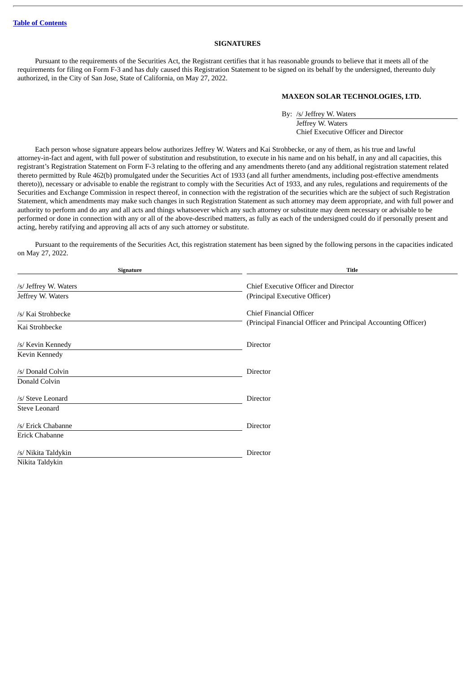#### **SIGNATURES**

Pursuant to the requirements of the Securities Act, the Registrant certifies that it has reasonable grounds to believe that it meets all of the requirements for filing on Form F-3 and has duly caused this Registration Statement to be signed on its behalf by the undersigned, thereunto duly authorized, in the City of San Jose, State of California, on May 27, 2022.

#### **MAXEON SOLAR TECHNOLOGIES, LTD.**

By: /s/ Jeffrey W. Waters Jeffrey W. Waters Chief Executive Officer and Director

Each person whose signature appears below authorizes Jeffrey W. Waters and Kai Strohbecke, or any of them, as his true and lawful attorney-in-fact and agent, with full power of substitution and resubstitution, to execute in his name and on his behalf, in any and all capacities, this registrant's Registration Statement on Form F-3 relating to the offering and any amendments thereto (and any additional registration statement related thereto permitted by Rule 462(b) promulgated under the Securities Act of 1933 (and all further amendments, including post-effective amendments thereto)), necessary or advisable to enable the registrant to comply with the Securities Act of 1933, and any rules, regulations and requirements of the Securities and Exchange Commission in respect thereof, in connection with the registration of the securities which are the subject of such Registration Statement, which amendments may make such changes in such Registration Statement as such attorney may deem appropriate, and with full power and authority to perform and do any and all acts and things whatsoever which any such attorney or substitute may deem necessary or advisable to be performed or done in connection with any or all of the above-described matters, as fully as each of the undersigned could do if personally present and acting, hereby ratifying and approving all acts of any such attorney or substitute.

Pursuant to the requirements of the Securities Act, this registration statement has been signed by the following persons in the capacities indicated on May 27, 2022.

| Signature             | <b>Title</b>                                                   |
|-----------------------|----------------------------------------------------------------|
| /s/ Jeffrey W. Waters | Chief Executive Officer and Director                           |
| Jeffrey W. Waters     | (Principal Executive Officer)                                  |
| /s/ Kai Strohbecke    | Chief Financial Officer                                        |
| Kai Strohbecke        | (Principal Financial Officer and Principal Accounting Officer) |
| /s/ Kevin Kennedy     | Director                                                       |
| Kevin Kennedy         |                                                                |
| /s/ Donald Colvin     | Director                                                       |
| Donald Colvin         |                                                                |
| /s/ Steve Leonard     | Director                                                       |
| Steve Leonard         |                                                                |
| /s/ Erick Chabanne    | Director                                                       |
| Erick Chabanne        |                                                                |
| /s/ Nikita Taldykin   | Director                                                       |
| Nikita Taldykin       |                                                                |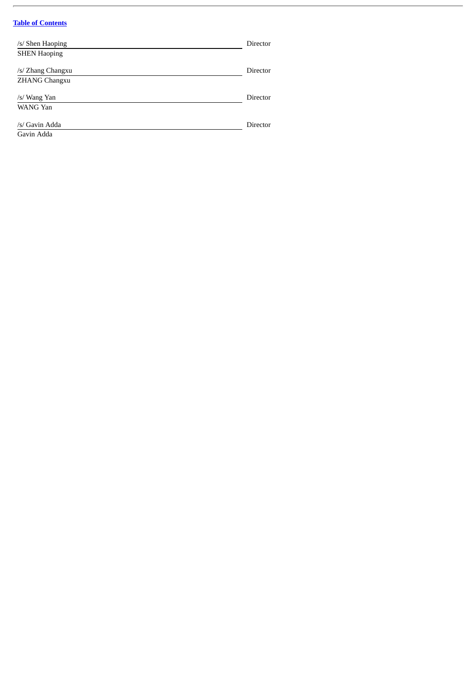$\overline{a}$ 

| /s/ Shen Haoping     | Director |
|----------------------|----------|
| <b>SHEN Haoping</b>  |          |
| /s/ Zhang Changxu    | Director |
| <b>ZHANG Changxu</b> |          |
| /s/ Wang Yan         | Director |
| WANG Yan             |          |
| /s/ Gavin Adda       | Director |
| Gavin Adda           |          |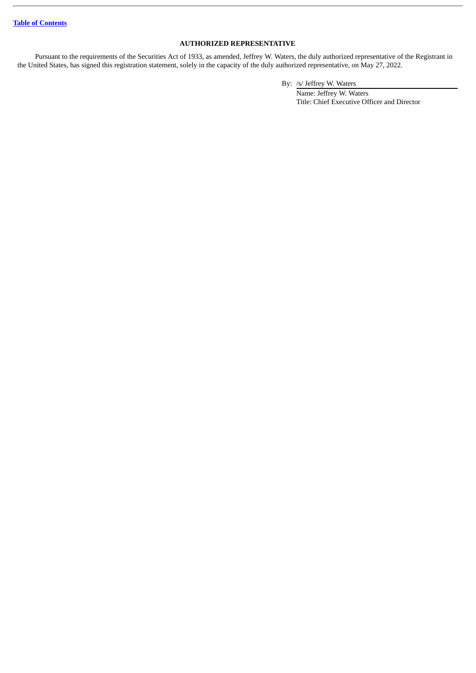### **AUTHORIZED REPRESENTATIVE**

Pursuant to the requirements of the Securities Act of 1933, as amended, Jeffrey W. Waters, the duly authorized representative of the Registrant in the United States, has signed this registration statement, solely in the capacity of the duly authorized representative, on May 27, 2022.

By: /s/ Jeffrey W. Waters

Name: Jeffrey W. Waters Title: Chief Executive Officer and Director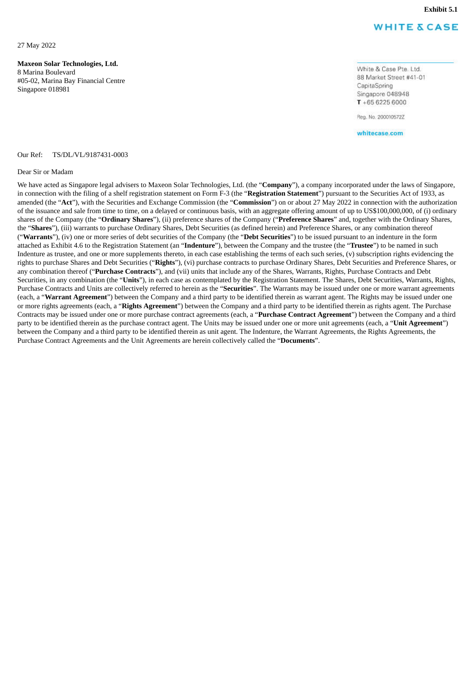**Exhibit 5.1**

# **WHITE & CASE**

<span id="page-36-0"></span>27 May 2022

**Maxeon Solar Technologies, Ltd.** 8 Marina Boulevard

#05-02, Marina Bay Financial Centre Singapore 018981

White & Case Pte. Ltd. 88 Market Street #41-01 CapitaSpring Singapore 048948  $T + 6562256000$ 

Reg. No. 200010572Z

whitecase.com

Our Ref: TS/DL/VL/9187431-0003

#### Dear Sir or Madam

We have acted as Singapore legal advisers to Maxeon Solar Technologies, Ltd. (the "**Company**"), a company incorporated under the laws of Singapore, in connection with the filing of a shelf registration statement on Form F-3 (the "**Registration Statement**") pursuant to the Securities Act of 1933, as amended (the "**Act**"), with the Securities and Exchange Commission (the "**Commission**") on or about 27 May 2022 in connection with the authorization of the issuance and sale from time to time, on a delayed or continuous basis, with an aggregate offering amount of up to US\$100,000,000, of (i) ordinary shares of the Company (the "**Ordinary Shares**"), (ii) preference shares of the Company ("**Preference Shares**" and, together with the Ordinary Shares, the "**Shares**"), (iii) warrants to purchase Ordinary Shares, Debt Securities (as defined herein) and Preference Shares, or any combination thereof ("**Warrants**"), (iv) one or more series of debt securities of the Company (the "**Debt Securities**") to be issued pursuant to an indenture in the form attached as Exhibit 4.6 to the Registration Statement (an "**Indenture**"), between the Company and the trustee (the "**Trustee**") to be named in such Indenture as trustee, and one or more supplements thereto, in each case establishing the terms of each such series, (v) subscription rights evidencing the rights to purchase Shares and Debt Securities ("**Rights**"), (vi) purchase contracts to purchase Ordinary Shares, Debt Securities and Preference Shares, or any combination thereof ("**Purchase Contracts**"), and (vii) units that include any of the Shares, Warrants, Rights, Purchase Contracts and Debt Securities, in any combination (the "**Units**"), in each case as contemplated by the Registration Statement. The Shares, Debt Securities, Warrants, Rights, Purchase Contracts and Units are collectively referred to herein as the "**Securities**". The Warrants may be issued under one or more warrant agreements (each, a "**Warrant Agreement**") between the Company and a third party to be identified therein as warrant agent. The Rights may be issued under one or more rights agreements (each, a "**Rights Agreement**") between the Company and a third party to be identified therein as rights agent. The Purchase Contracts may be issued under one or more purchase contract agreements (each, a "**Purchase Contract Agreement**") between the Company and a third party to be identified therein as the purchase contract agent. The Units may be issued under one or more unit agreements (each, a "**Unit Agreement**") between the Company and a third party to be identified therein as unit agent. The Indenture, the Warrant Agreements, the Rights Agreements, the Purchase Contract Agreements and the Unit Agreements are herein collectively called the "**Documents**".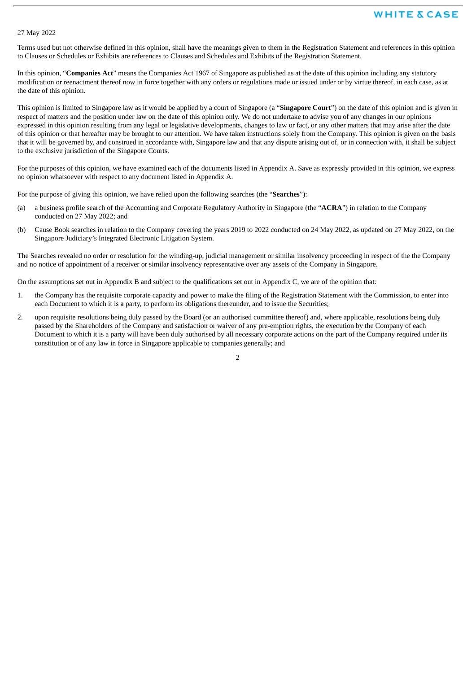#### 27 May 2022

Terms used but not otherwise defined in this opinion, shall have the meanings given to them in the Registration Statement and references in this opinion to Clauses or Schedules or Exhibits are references to Clauses and Schedules and Exhibits of the Registration Statement.

In this opinion, "**Companies Act**" means the Companies Act 1967 of Singapore as published as at the date of this opinion including any statutory modification or reenactment thereof now in force together with any orders or regulations made or issued under or by virtue thereof, in each case, as at the date of this opinion.

This opinion is limited to Singapore law as it would be applied by a court of Singapore (a "**Singapore Court**") on the date of this opinion and is given in respect of matters and the position under law on the date of this opinion only. We do not undertake to advise you of any changes in our opinions expressed in this opinion resulting from any legal or legislative developments, changes to law or fact, or any other matters that may arise after the date of this opinion or that hereafter may be brought to our attention. We have taken instructions solely from the Company. This opinion is given on the basis that it will be governed by, and construed in accordance with, Singapore law and that any dispute arising out of, or in connection with, it shall be subject to the exclusive jurisdiction of the Singapore Courts.

For the purposes of this opinion, we have examined each of the documents listed in Appendix A. Save as expressly provided in this opinion, we express no opinion whatsoever with respect to any document listed in Appendix A.

For the purpose of giving this opinion, we have relied upon the following searches (the "**Searches**"):

- (a) a business profile search of the Accounting and Corporate Regulatory Authority in Singapore (the "**ACRA**") in relation to the Company conducted on 27 May 2022; and
- (b) Cause Book searches in relation to the Company covering the years 2019 to 2022 conducted on 24 May 2022, as updated on 27 May 2022, on the Singapore Judiciary's Integrated Electronic Litigation System.

The Searches revealed no order or resolution for the winding-up, judicial management or similar insolvency proceeding in respect of the the Company and no notice of appointment of a receiver or similar insolvency representative over any assets of the Company in Singapore.

On the assumptions set out in Appendix B and subject to the qualifications set out in Appendix C, we are of the opinion that:

- 1. the Company has the requisite corporate capacity and power to make the filing of the Registration Statement with the Commission, to enter into each Document to which it is a party, to perform its obligations thereunder, and to issue the Securities;
- 2. upon requisite resolutions being duly passed by the Board (or an authorised committee thereof) and, where applicable, resolutions being duly passed by the Shareholders of the Company and satisfaction or waiver of any pre-emption rights, the execution by the Company of each Document to which it is a party will have been duly authorised by all necessary corporate actions on the part of the Company required under its constitution or of any law in force in Singapore applicable to companies generally; and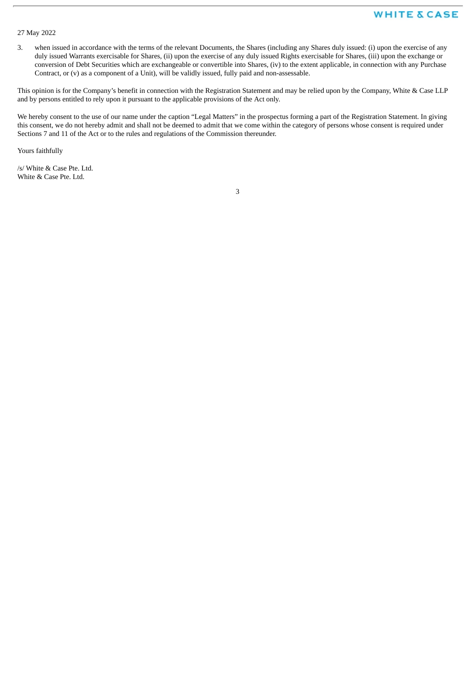### 27 May 2022

3. when issued in accordance with the terms of the relevant Documents, the Shares (including any Shares duly issued: (i) upon the exercise of any duly issued Warrants exercisable for Shares, (ii) upon the exercise of any duly issued Rights exercisable for Shares, (iii) upon the exchange or conversion of Debt Securities which are exchangeable or convertible into Shares, (iv) to the extent applicable, in connection with any Purchase Contract, or (v) as a component of a Unit), will be validly issued, fully paid and non-assessable.

This opinion is for the Company's benefit in connection with the Registration Statement and may be relied upon by the Company, White & Case LLP and by persons entitled to rely upon it pursuant to the applicable provisions of the Act only.

We hereby consent to the use of our name under the caption "Legal Matters" in the prospectus forming a part of the Registration Statement. In giving this consent, we do not hereby admit and shall not be deemed to admit that we come within the category of persons whose consent is required under Sections 7 and 11 of the Act or to the rules and regulations of the Commission thereunder.

Yours faithfully

/s/ White & Case Pte. Ltd. White & Case Pte. Ltd.

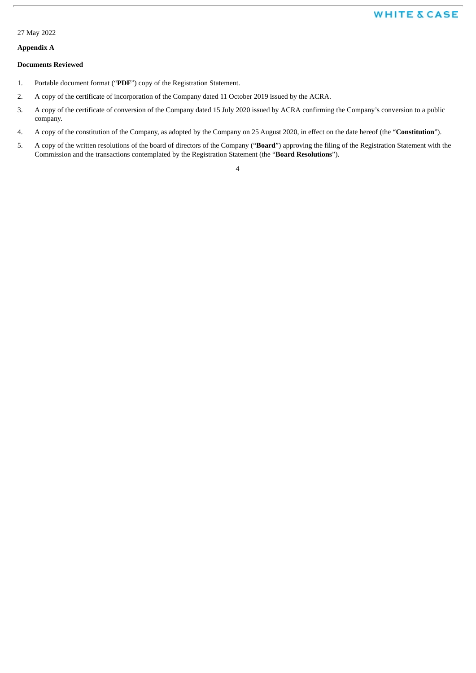#### 27 May 2022

### **Appendix A**

#### **Documents Reviewed**

- 1. Portable document format ("**PDF**") copy of the Registration Statement.
- 2. A copy of the certificate of incorporation of the Company dated 11 October 2019 issued by the ACRA.
- 3. A copy of the certificate of conversion of the Company dated 15 July 2020 issued by ACRA confirming the Company's conversion to a public company.
- 4. A copy of the constitution of the Company, as adopted by the Company on 25 August 2020, in effect on the date hereof (the "**Constitution**").
- 5. A copy of the written resolutions of the board of directors of the Company ("**Board**") approving the filing of the Registration Statement with the Commission and the transactions contemplated by the Registration Statement (the "**Board Resolutions**").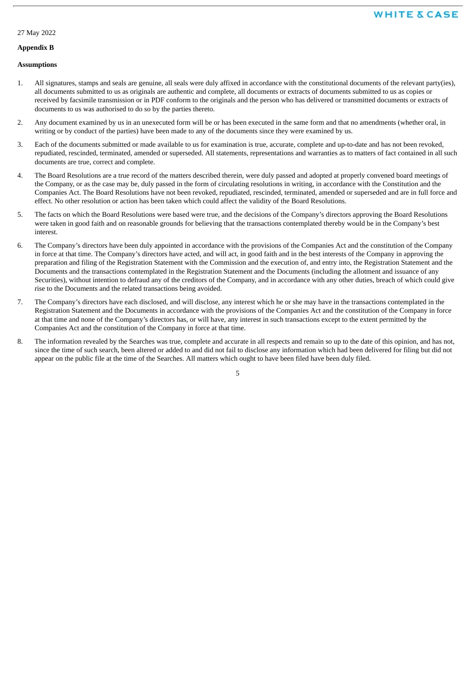### 27 May 2022

#### **Appendix B**

#### **Assumptions**

- 1. All signatures, stamps and seals are genuine, all seals were duly affixed in accordance with the constitutional documents of the relevant party(ies), all documents submitted to us as originals are authentic and complete, all documents or extracts of documents submitted to us as copies or received by facsimile transmission or in PDF conform to the originals and the person who has delivered or transmitted documents or extracts of documents to us was authorised to do so by the parties thereto.
- 2. Any document examined by us in an unexecuted form will be or has been executed in the same form and that no amendments (whether oral, in writing or by conduct of the parties) have been made to any of the documents since they were examined by us.
- 3. Each of the documents submitted or made available to us for examination is true, accurate, complete and up-to-date and has not been revoked, repudiated, rescinded, terminated, amended or superseded. All statements, representations and warranties as to matters of fact contained in all such documents are true, correct and complete.
- 4. The Board Resolutions are a true record of the matters described therein, were duly passed and adopted at properly convened board meetings of the Company, or as the case may be, duly passed in the form of circulating resolutions in writing, in accordance with the Constitution and the Companies Act. The Board Resolutions have not been revoked, repudiated, rescinded, terminated, amended or superseded and are in full force and effect. No other resolution or action has been taken which could affect the validity of the Board Resolutions.
- 5. The facts on which the Board Resolutions were based were true, and the decisions of the Company's directors approving the Board Resolutions were taken in good faith and on reasonable grounds for believing that the transactions contemplated thereby would be in the Company's best interest.
- 6. The Company's directors have been duly appointed in accordance with the provisions of the Companies Act and the constitution of the Company in force at that time. The Company's directors have acted, and will act, in good faith and in the best interests of the Company in approving the preparation and filing of the Registration Statement with the Commission and the execution of, and entry into, the Registration Statement and the Documents and the transactions contemplated in the Registration Statement and the Documents (including the allotment and issuance of any Securities), without intention to defraud any of the creditors of the Company, and in accordance with any other duties, breach of which could give rise to the Documents and the related transactions being avoided.
- 7. The Company's directors have each disclosed, and will disclose, any interest which he or she may have in the transactions contemplated in the Registration Statement and the Documents in accordance with the provisions of the Companies Act and the constitution of the Company in force at that time and none of the Company's directors has, or will have, any interest in such transactions except to the extent permitted by the Companies Act and the constitution of the Company in force at that time.
- 8. The information revealed by the Searches was true, complete and accurate in all respects and remain so up to the date of this opinion, and has not, since the time of such search, been altered or added to and did not fail to disclose any information which had been delivered for filing but did not appear on the public file at the time of the Searches. All matters which ought to have been filed have been duly filed.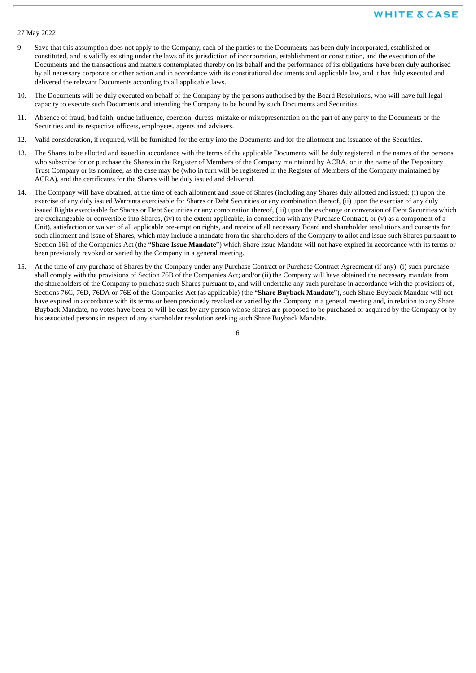#### 27 May 2022

- 9. Save that this assumption does not apply to the Company, each of the parties to the Documents has been duly incorporated, established or constituted, and is validly existing under the laws of its jurisdiction of incorporation, establishment or constitution, and the execution of the Documents and the transactions and matters contemplated thereby on its behalf and the performance of its obligations have been duly authorised by all necessary corporate or other action and in accordance with its constitutional documents and applicable law, and it has duly executed and delivered the relevant Documents according to all applicable laws.
- 10. The Documents will be duly executed on behalf of the Company by the persons authorised by the Board Resolutions, who will have full legal capacity to execute such Documents and intending the Company to be bound by such Documents and Securities.
- 11. Absence of fraud, bad faith, undue influence, coercion, duress, mistake or misrepresentation on the part of any party to the Documents or the Securities and its respective officers, employees, agents and advisers.
- 12. Valid consideration, if required, will be furnished for the entry into the Documents and for the allotment and issuance of the Securities.
- 13. The Shares to be allotted and issued in accordance with the terms of the applicable Documents will be duly registered in the names of the persons who subscribe for or purchase the Shares in the Register of Members of the Company maintained by ACRA, or in the name of the Depository Trust Company or its nominee, as the case may be (who in turn will be registered in the Register of Members of the Company maintained by ACRA), and the certificates for the Shares will be duly issued and delivered.
- 14. The Company will have obtained, at the time of each allotment and issue of Shares (including any Shares duly allotted and issued: (i) upon the exercise of any duly issued Warrants exercisable for Shares or Debt Securities or any combination thereof, (ii) upon the exercise of any duly issued Rights exercisable for Shares or Debt Securities or any combination thereof, (iii) upon the exchange or conversion of Debt Securities which are exchangeable or convertible into Shares, (iv) to the extent applicable, in connection with any Purchase Contract, or (v) as a component of a Unit), satisfaction or waiver of all applicable pre-emption rights, and receipt of all necessary Board and shareholder resolutions and consents for such allotment and issue of Shares, which may include a mandate from the shareholders of the Company to allot and issue such Shares pursuant to Section 161 of the Companies Act (the "**Share Issue Mandate**") which Share Issue Mandate will not have expired in accordance with its terms or been previously revoked or varied by the Company in a general meeting.
- 15. At the time of any purchase of Shares by the Company under any Purchase Contract or Purchase Contract Agreement (if any): (i) such purchase shall comply with the provisions of Section 76B of the Companies Act; and/or (ii) the Company will have obtained the necessary mandate from the shareholders of the Company to purchase such Shares pursuant to, and will undertake any such purchase in accordance with the provisions of, Sections 76C, 76D, 76DA or 76E of the Companies Act (as applicable) (the "**Share Buyback Mandate**"), such Share Buyback Mandate will not have expired in accordance with its terms or been previously revoked or varied by the Company in a general meeting and, in relation to any Share Buyback Mandate, no votes have been or will be cast by any person whose shares are proposed to be purchased or acquired by the Company or by his associated persons in respect of any shareholder resolution seeking such Share Buyback Mandate.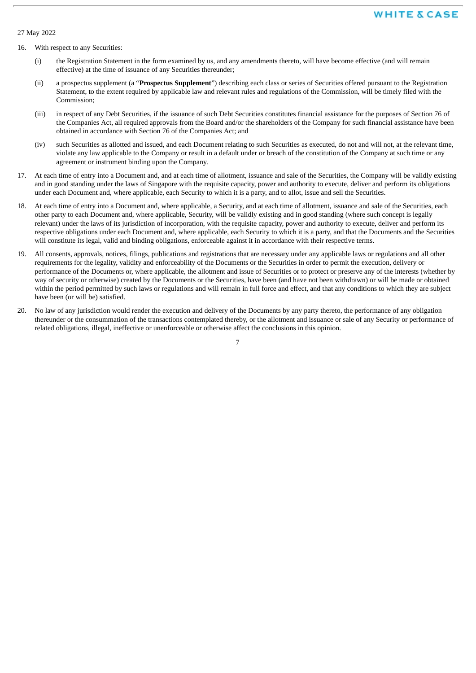27 May 2022

- 16. With respect to any Securities:
	- (i) the Registration Statement in the form examined by us, and any amendments thereto, will have become effective (and will remain effective) at the time of issuance of any Securities thereunder;
	- (ii) a prospectus supplement (a "**Prospectus Supplement**") describing each class or series of Securities offered pursuant to the Registration Statement, to the extent required by applicable law and relevant rules and regulations of the Commission, will be timely filed with the Commission;
	- (iii) in respect of any Debt Securities, if the issuance of such Debt Securities constitutes financial assistance for the purposes of Section 76 of the Companies Act, all required approvals from the Board and/or the shareholders of the Company for such financial assistance have been obtained in accordance with Section 76 of the Companies Act; and
	- (iv) such Securities as allotted and issued, and each Document relating to such Securities as executed, do not and will not, at the relevant time, violate any law applicable to the Company or result in a default under or breach of the constitution of the Company at such time or any agreement or instrument binding upon the Company.
- 17. At each time of entry into a Document and, and at each time of allotment, issuance and sale of the Securities, the Company will be validly existing and in good standing under the laws of Singapore with the requisite capacity, power and authority to execute, deliver and perform its obligations under each Document and, where applicable, each Security to which it is a party, and to allot, issue and sell the Securities.
- 18. At each time of entry into a Document and, where applicable, a Security, and at each time of allotment, issuance and sale of the Securities, each other party to each Document and, where applicable, Security, will be validly existing and in good standing (where such concept is legally relevant) under the laws of its jurisdiction of incorporation, with the requisite capacity, power and authority to execute, deliver and perform its respective obligations under each Document and, where applicable, each Security to which it is a party, and that the Documents and the Securities will constitute its legal, valid and binding obligations, enforceable against it in accordance with their respective terms.
- 19. All consents, approvals, notices, filings, publications and registrations that are necessary under any applicable laws or regulations and all other requirements for the legality, validity and enforceability of the Documents or the Securities in order to permit the execution, delivery or performance of the Documents or, where applicable, the allotment and issue of Securities or to protect or preserve any of the interests (whether by way of security or otherwise) created by the Documents or the Securities, have been (and have not been withdrawn) or will be made or obtained within the period permitted by such laws or regulations and will remain in full force and effect, and that any conditions to which they are subject have been (or will be) satisfied.
- 20. No law of any jurisdiction would render the execution and delivery of the Documents by any party thereto, the performance of any obligation thereunder or the consummation of the transactions contemplated thereby, or the allotment and issuance or sale of any Security or performance of related obligations, illegal, ineffective or unenforceable or otherwise affect the conclusions in this opinion.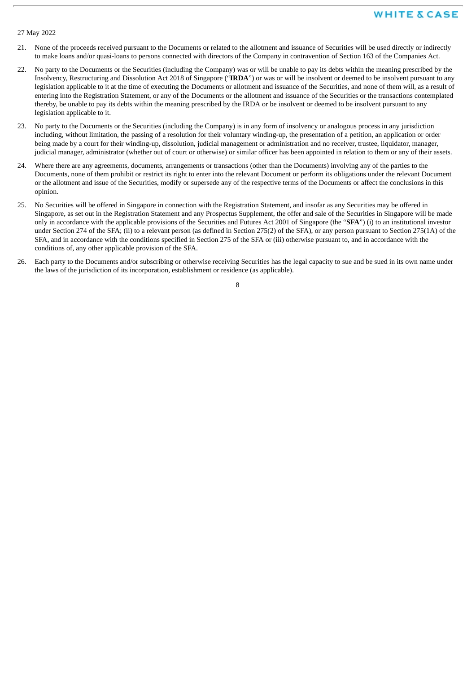#### 27 May 2022

- 21. None of the proceeds received pursuant to the Documents or related to the allotment and issuance of Securities will be used directly or indirectly to make loans and/or quasi-loans to persons connected with directors of the Company in contravention of Section 163 of the Companies Act.
- 22. No party to the Documents or the Securities (including the Company) was or will be unable to pay its debts within the meaning prescribed by the Insolvency, Restructuring and Dissolution Act 2018 of Singapore ("**IRDA**") or was or will be insolvent or deemed to be insolvent pursuant to any legislation applicable to it at the time of executing the Documents or allotment and issuance of the Securities, and none of them will, as a result of entering into the Registration Statement, or any of the Documents or the allotment and issuance of the Securities or the transactions contemplated thereby, be unable to pay its debts within the meaning prescribed by the IRDA or be insolvent or deemed to be insolvent pursuant to any legislation applicable to it.
- 23. No party to the Documents or the Securities (including the Company) is in any form of insolvency or analogous process in any jurisdiction including, without limitation, the passing of a resolution for their voluntary winding-up, the presentation of a petition, an application or order being made by a court for their winding-up, dissolution, judicial management or administration and no receiver, trustee, liquidator, manager, judicial manager, administrator (whether out of court or otherwise) or similar officer has been appointed in relation to them or any of their assets.
- 24. Where there are any agreements, documents, arrangements or transactions (other than the Documents) involving any of the parties to the Documents, none of them prohibit or restrict its right to enter into the relevant Document or perform its obligations under the relevant Document or the allotment and issue of the Securities, modify or supersede any of the respective terms of the Documents or affect the conclusions in this opinion.
- 25. No Securities will be offered in Singapore in connection with the Registration Statement, and insofar as any Securities may be offered in Singapore, as set out in the Registration Statement and any Prospectus Supplement, the offer and sale of the Securities in Singapore will be made only in accordance with the applicable provisions of the Securities and Futures Act 2001 of Singapore (the "**SFA**") (i) to an institutional investor under Section 274 of the SFA; (ii) to a relevant person (as defined in Section 275(2) of the SFA), or any person pursuant to Section 275(1A) of the SFA, and in accordance with the conditions specified in Section 275 of the SFA or (iii) otherwise pursuant to, and in accordance with the conditions of, any other applicable provision of the SFA.
- 26. Each party to the Documents and/or subscribing or otherwise receiving Securities has the legal capacity to sue and be sued in its own name under the laws of the jurisdiction of its incorporation, establishment or residence (as applicable).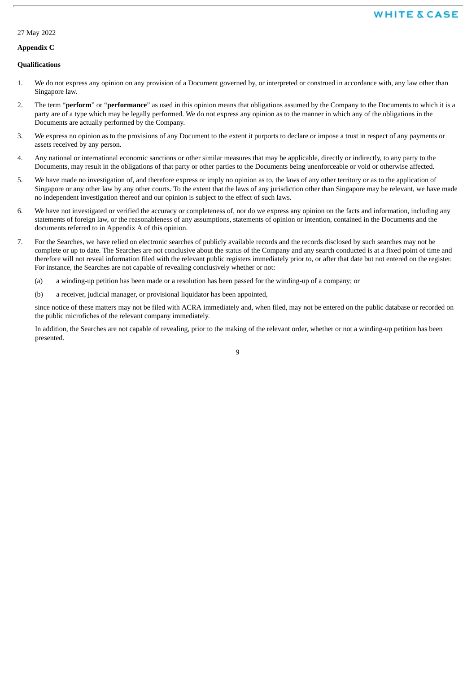# 27 May 2022

#### **Appendix C**

#### **Qualifications**

- 1. We do not express any opinion on any provision of a Document governed by, or interpreted or construed in accordance with, any law other than Singapore law.
- 2. The term "**perform**" or "**performance**" as used in this opinion means that obligations assumed by the Company to the Documents to which it is a party are of a type which may be legally performed. We do not express any opinion as to the manner in which any of the obligations in the Documents are actually performed by the Company.
- 3. We express no opinion as to the provisions of any Document to the extent it purports to declare or impose a trust in respect of any payments or assets received by any person.
- 4. Any national or international economic sanctions or other similar measures that may be applicable, directly or indirectly, to any party to the Documents, may result in the obligations of that party or other parties to the Documents being unenforceable or void or otherwise affected.
- 5. We have made no investigation of, and therefore express or imply no opinion as to, the laws of any other territory or as to the application of Singapore or any other law by any other courts. To the extent that the laws of any jurisdiction other than Singapore may be relevant, we have made no independent investigation thereof and our opinion is subject to the effect of such laws.
- 6. We have not investigated or verified the accuracy or completeness of, nor do we express any opinion on the facts and information, including any statements of foreign law, or the reasonableness of any assumptions, statements of opinion or intention, contained in the Documents and the documents referred to in Appendix A of this opinion.
- 7. For the Searches, we have relied on electronic searches of publicly available records and the records disclosed by such searches may not be complete or up to date. The Searches are not conclusive about the status of the Company and any search conducted is at a fixed point of time and therefore will not reveal information filed with the relevant public registers immediately prior to, or after that date but not entered on the register. For instance, the Searches are not capable of revealing conclusively whether or not:
	- (a) a winding-up petition has been made or a resolution has been passed for the winding-up of a company; or
	- (b) a receiver, judicial manager, or provisional liquidator has been appointed,

since notice of these matters may not be filed with ACRA immediately and, when filed, may not be entered on the public database or recorded on the public microfiches of the relevant company immediately.

In addition, the Searches are not capable of revealing, prior to the making of the relevant order, whether or not a winding-up petition has been presented.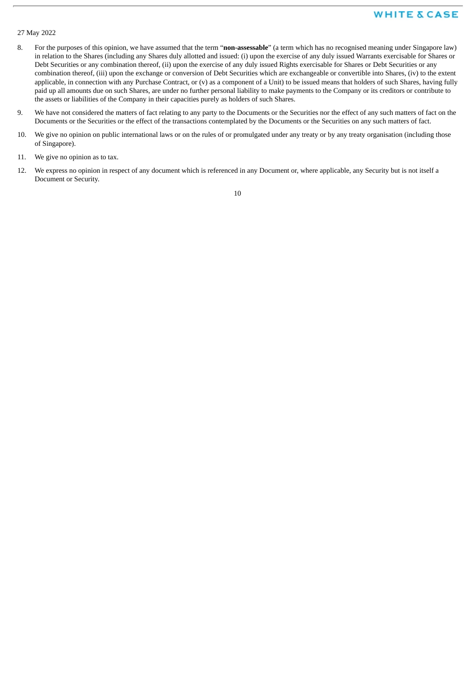#### 27 May 2022

- 8. For the purposes of this opinion, we have assumed that the term "**non-assessable**" (a term which has no recognised meaning under Singapore law) in relation to the Shares (including any Shares duly allotted and issued: (i) upon the exercise of any duly issued Warrants exercisable for Shares or Debt Securities or any combination thereof, (ii) upon the exercise of any duly issued Rights exercisable for Shares or Debt Securities or any combination thereof, (iii) upon the exchange or conversion of Debt Securities which are exchangeable or convertible into Shares, (iv) to the extent applicable, in connection with any Purchase Contract, or (v) as a component of a Unit) to be issued means that holders of such Shares, having fully paid up all amounts due on such Shares, are under no further personal liability to make payments to the Company or its creditors or contribute to the assets or liabilities of the Company in their capacities purely as holders of such Shares.
- 9. We have not considered the matters of fact relating to any party to the Documents or the Securities nor the effect of any such matters of fact on the Documents or the Securities or the effect of the transactions contemplated by the Documents or the Securities on any such matters of fact.
- 10. We give no opinion on public international laws or on the rules of or promulgated under any treaty or by any treaty organisation (including those of Singapore).
- 11. We give no opinion as to tax.
- 12. We express no opinion in respect of any document which is referenced in any Document or, where applicable, any Security but is not itself a Document or Security.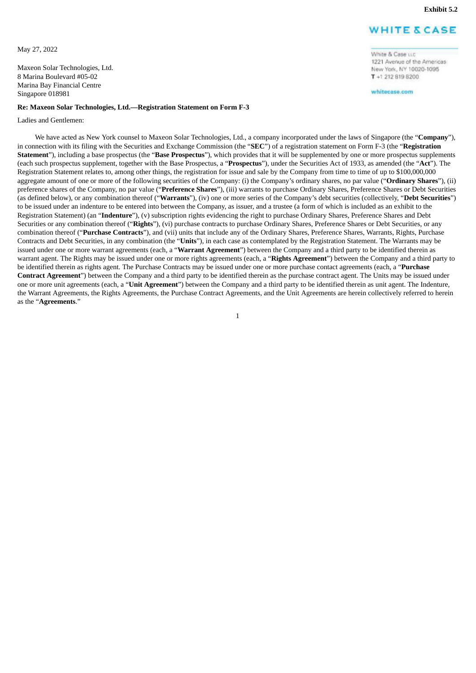1221 Avenue of the Americas New York, NY 10020-1095 T +1 212 819 8200 whitecase.com

White & Case u.c.

<span id="page-46-0"></span>May 27, 2022

Maxeon Solar Technologies, Ltd. 8 Marina Boulevard #05-02 Marina Bay Financial Centre Singapore 018981

#### **Re: Maxeon Solar Technologies, Ltd.—Registration Statement on Form F-3**

Ladies and Gentlemen:

We have acted as New York counsel to Maxeon Solar Technologies, Ltd., a company incorporated under the laws of Singapore (the "**Company**"), in connection with its filing with the Securities and Exchange Commission (the "**SEC**") of a registration statement on Form F-3 (the "**Registration Statement**"), including a base prospectus (the "**Base Prospectus**"), which provides that it will be supplemented by one or more prospectus supplements (each such prospectus supplement, together with the Base Prospectus, a "**Prospectus**"), under the Securities Act of 1933, as amended (the "**Act**"). The Registration Statement relates to, among other things, the registration for issue and sale by the Company from time to time of up to \$100,000,000 aggregate amount of one or more of the following securities of the Company: (i) the Company's ordinary shares, no par value ("**Ordinary Shares**"), (ii) preference shares of the Company, no par value ("**Preference Shares**"), (iii) warrants to purchase Ordinary Shares, Preference Shares or Debt Securities (as defined below), or any combination thereof ("**Warrants**"), (iv) one or more series of the Company's debt securities (collectively, "**Debt Securities**") to be issued under an indenture to be entered into between the Company, as issuer, and a trustee (a form of which is included as an exhibit to the Registration Statement) (an "**Indenture**"), (v) subscription rights evidencing the right to purchase Ordinary Shares, Preference Shares and Debt Securities or any combination thereof ("**Rights**"), (vi) purchase contracts to purchase Ordinary Shares, Preference Shares or Debt Securities, or any combination thereof ("**Purchase Contracts**"), and (vii) units that include any of the Ordinary Shares, Preference Shares, Warrants, Rights, Purchase Contracts and Debt Securities, in any combination (the "**Units**"), in each case as contemplated by the Registration Statement. The Warrants may be issued under one or more warrant agreements (each, a "**Warrant Agreement**") between the Company and a third party to be identified therein as warrant agent. The Rights may be issued under one or more rights agreements (each, a "**Rights Agreement**") between the Company and a third party to be identified therein as rights agent. The Purchase Contracts may be issued under one or more purchase contact agreements (each, a "**Purchase Contract Agreement**") between the Company and a third party to be identified therein as the purchase contract agent. The Units may be issued under one or more unit agreements (each, a "**Unit Agreement**") between the Company and a third party to be identified therein as unit agent. The Indenture, the Warrant Agreements, the Rights Agreements, the Purchase Contract Agreements, and the Unit Agreements are herein collectively referred to herein as the "**Agreements**."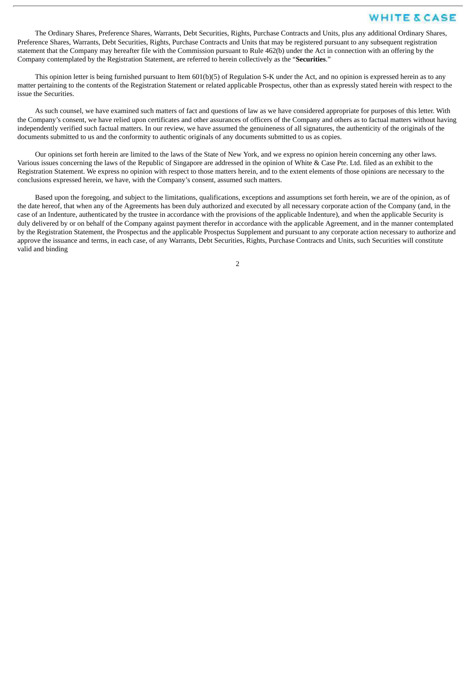The Ordinary Shares, Preference Shares, Warrants, Debt Securities, Rights, Purchase Contracts and Units, plus any additional Ordinary Shares, Preference Shares, Warrants, Debt Securities, Rights, Purchase Contracts and Units that may be registered pursuant to any subsequent registration statement that the Company may hereafter file with the Commission pursuant to Rule 462(b) under the Act in connection with an offering by the Company contemplated by the Registration Statement, are referred to herein collectively as the "**Securities**."

This opinion letter is being furnished pursuant to Item 601(b)(5) of Regulation S-K under the Act, and no opinion is expressed herein as to any matter pertaining to the contents of the Registration Statement or related applicable Prospectus, other than as expressly stated herein with respect to the issue the Securities.

As such counsel, we have examined such matters of fact and questions of law as we have considered appropriate for purposes of this letter. With the Company's consent, we have relied upon certificates and other assurances of officers of the Company and others as to factual matters without having independently verified such factual matters. In our review, we have assumed the genuineness of all signatures, the authenticity of the originals of the documents submitted to us and the conformity to authentic originals of any documents submitted to us as copies.

Our opinions set forth herein are limited to the laws of the State of New York, and we express no opinion herein concerning any other laws. Various issues concerning the laws of the Republic of Singapore are addressed in the opinion of White & Case Pte. Ltd. filed as an exhibit to the Registration Statement. We express no opinion with respect to those matters herein, and to the extent elements of those opinions are necessary to the conclusions expressed herein, we have, with the Company's consent, assumed such matters.

Based upon the foregoing, and subject to the limitations, qualifications, exceptions and assumptions set forth herein, we are of the opinion, as of the date hereof, that when any of the Agreements has been duly authorized and executed by all necessary corporate action of the Company (and, in the case of an Indenture, authenticated by the trustee in accordance with the provisions of the applicable Indenture), and when the applicable Security is duly delivered by or on behalf of the Company against payment therefor in accordance with the applicable Agreement, and in the manner contemplated by the Registration Statement, the Prospectus and the applicable Prospectus Supplement and pursuant to any corporate action necessary to authorize and approve the issuance and terms, in each case, of any Warrants, Debt Securities, Rights, Purchase Contracts and Units, such Securities will constitute valid and binding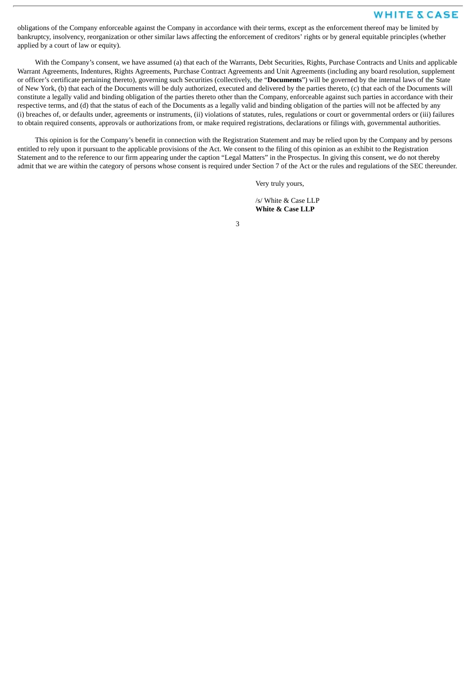obligations of the Company enforceable against the Company in accordance with their terms, except as the enforcement thereof may be limited by bankruptcy, insolvency, reorganization or other similar laws affecting the enforcement of creditors' rights or by general equitable principles (whether applied by a court of law or equity).

With the Company's consent, we have assumed (a) that each of the Warrants, Debt Securities, Rights, Purchase Contracts and Units and applicable Warrant Agreements, Indentures, Rights Agreements, Purchase Contract Agreements and Unit Agreements (including any board resolution, supplement or officer's certificate pertaining thereto), governing such Securities (collectively, the "**Documents**") will be governed by the internal laws of the State of New York, (b) that each of the Documents will be duly authorized, executed and delivered by the parties thereto, (c) that each of the Documents will constitute a legally valid and binding obligation of the parties thereto other than the Company, enforceable against such parties in accordance with their respective terms, and (d) that the status of each of the Documents as a legally valid and binding obligation of the parties will not be affected by any (i) breaches of, or defaults under, agreements or instruments, (ii) violations of statutes, rules, regulations or court or governmental orders or (iii) failures to obtain required consents, approvals or authorizations from, or make required registrations, declarations or filings with, governmental authorities.

This opinion is for the Company's benefit in connection with the Registration Statement and may be relied upon by the Company and by persons entitled to rely upon it pursuant to the applicable provisions of the Act. We consent to the filing of this opinion as an exhibit to the Registration Statement and to the reference to our firm appearing under the caption "Legal Matters" in the Prospectus. In giving this consent, we do not thereby admit that we are within the category of persons whose consent is required under Section 7 of the Act or the rules and regulations of the SEC thereunder.

Very truly yours,

/s/ White & Case LLP **White & Case LLP**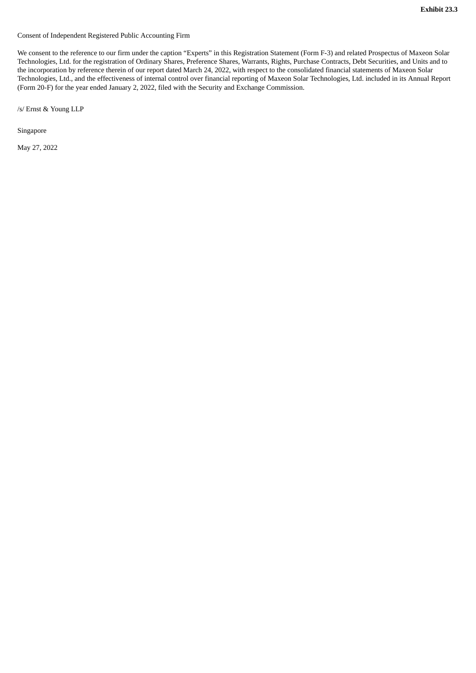<span id="page-49-0"></span>Consent of Independent Registered Public Accounting Firm

We consent to the reference to our firm under the caption "Experts" in this Registration Statement (Form F-3) and related Prospectus of Maxeon Solar Technologies, Ltd. for the registration of Ordinary Shares, Preference Shares, Warrants, Rights, Purchase Contracts, Debt Securities, and Units and to the incorporation by reference therein of our report dated March 24, 2022, with respect to the consolidated financial statements of Maxeon Solar Technologies, Ltd., and the effectiveness of internal control over financial reporting of Maxeon Solar Technologies, Ltd. included in its Annual Report (Form 20-F) for the year ended January 2, 2022, filed with the Security and Exchange Commission.

/s/ Ernst & Young LLP

Singapore

May 27, 2022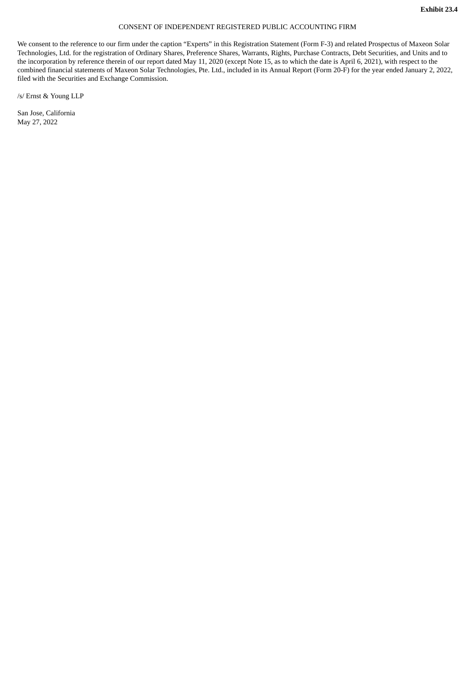#### CONSENT OF INDEPENDENT REGISTERED PUBLIC ACCOUNTING FIRM

<span id="page-50-0"></span>We consent to the reference to our firm under the caption "Experts" in this Registration Statement (Form F-3) and related Prospectus of Maxeon Solar Technologies, Ltd. for the registration of Ordinary Shares, Preference Shares, Warrants, Rights, Purchase Contracts, Debt Securities, and Units and to the incorporation by reference therein of our report dated May 11, 2020 (except Note 15, as to which the date is April 6, 2021), with respect to the combined financial statements of Maxeon Solar Technologies, Pte. Ltd., included in its Annual Report (Form 20-F) for the year ended January 2, 2022, filed with the Securities and Exchange Commission.

/s/ Ernst & Young LLP

San Jose, California May 27, 2022